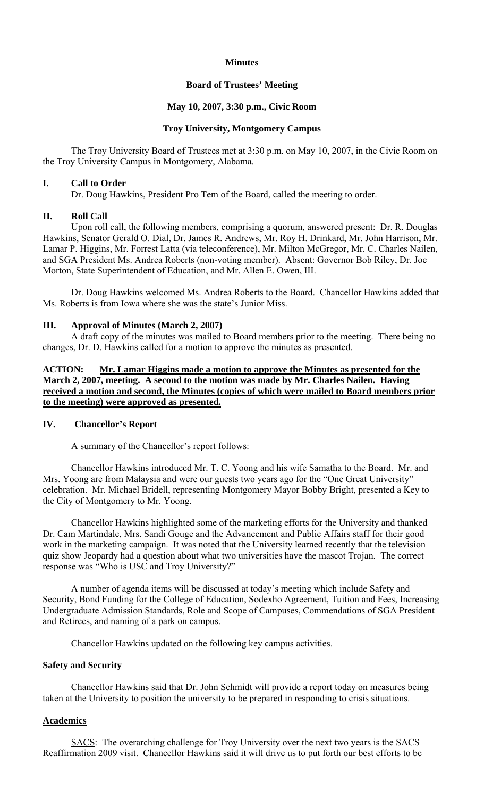### **Minutes**

### **Board of Trustees' Meeting**

## **May 10, 2007, 3:30 p.m., Civic Room**

## **Troy University, Montgomery Campus**

The Troy University Board of Trustees met at 3:30 p.m. on May 10, 2007, in the Civic Room on the Troy University Campus in Montgomery, Alabama.

#### **I. Call to Order**

Dr. Doug Hawkins, President Pro Tem of the Board, called the meeting to order.

#### **II. Roll Call**

Upon roll call, the following members, comprising a quorum, answered present: Dr. R. Douglas Hawkins, Senator Gerald O. Dial, Dr. James R. Andrews, Mr. Roy H. Drinkard, Mr. John Harrison, Mr. Lamar P. Higgins, Mr. Forrest Latta (via teleconference), Mr. Milton McGregor, Mr. C. Charles Nailen, and SGA President Ms. Andrea Roberts (non-voting member). Absent: Governor Bob Riley, Dr. Joe Morton, State Superintendent of Education, and Mr. Allen E. Owen, III.

 Dr. Doug Hawkins welcomed Ms. Andrea Roberts to the Board. Chancellor Hawkins added that Ms. Roberts is from Iowa where she was the state's Junior Miss.

#### **III. Approval of Minutes (March 2, 2007)**

A draft copy of the minutes was mailed to Board members prior to the meeting. There being no changes, Dr. D. Hawkins called for a motion to approve the minutes as presented.

**ACTION: Mr. Lamar Higgins made a motion to approve the Minutes as presented for the March 2, 2007, meeting. A second to the motion was made by Mr. Charles Nailen. Having received a motion and second, the Minutes (copies of which were mailed to Board members prior to the meeting) were approved as presented.**

## **IV. Chancellor's Report**

A summary of the Chancellor's report follows:

Chancellor Hawkins introduced Mr. T. C. Yoong and his wife Samatha to the Board. Mr. and Mrs. Yoong are from Malaysia and were our guests two years ago for the "One Great University" celebration. Mr. Michael Bridell, representing Montgomery Mayor Bobby Bright, presented a Key to the City of Montgomery to Mr. Yoong.

 Chancellor Hawkins highlighted some of the marketing efforts for the University and thanked Dr. Cam Martindale, Mrs. Sandi Gouge and the Advancement and Public Affairs staff for their good work in the marketing campaign. It was noted that the University learned recently that the television quiz show Jeopardy had a question about what two universities have the mascot Trojan. The correct response was "Who is USC and Troy University?"

 A number of agenda items will be discussed at today's meeting which include Safety and Security, Bond Funding for the College of Education, Sodexho Agreement, Tuition and Fees, Increasing Undergraduate Admission Standards, Role and Scope of Campuses, Commendations of SGA President and Retirees, and naming of a park on campus.

Chancellor Hawkins updated on the following key campus activities.

## **Safety and Security**

 Chancellor Hawkins said that Dr. John Schmidt will provide a report today on measures being taken at the University to position the university to be prepared in responding to crisis situations.

### **Academics**

SACS: The overarching challenge for Troy University over the next two years is the SACS Reaffirmation 2009 visit. Chancellor Hawkins said it will drive us to put forth our best efforts to be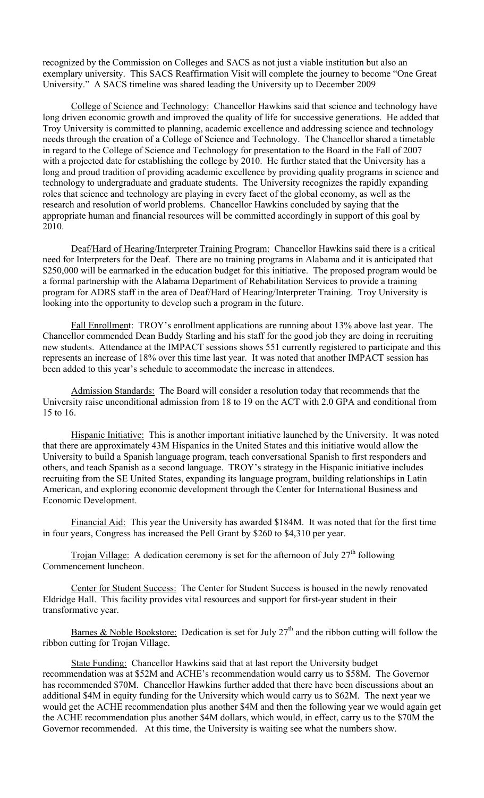recognized by the Commission on Colleges and SACS as not just a viable institution but also an exemplary university. This SACS Reaffirmation Visit will complete the journey to become "One Great University." A SACS timeline was shared leading the University up to December 2009

College of Science and Technology: Chancellor Hawkins said that science and technology have long driven economic growth and improved the quality of life for successive generations. He added that Troy University is committed to planning, academic excellence and addressing science and technology needs through the creation of a College of Science and Technology. The Chancellor shared a timetable in regard to the College of Science and Technology for presentation to the Board in the Fall of 2007 with a projected date for establishing the college by 2010. He further stated that the University has a long and proud tradition of providing academic excellence by providing quality programs in science and technology to undergraduate and graduate students. The University recognizes the rapidly expanding roles that science and technology are playing in every facet of the global economy, as well as the research and resolution of world problems. Chancellor Hawkins concluded by saying that the appropriate human and financial resources will be committed accordingly in support of this goal by 2010.

Deaf/Hard of Hearing/Interpreter Training Program: Chancellor Hawkins said there is a critical need for Interpreters for the Deaf. There are no training programs in Alabama and it is anticipated that \$250,000 will be earmarked in the education budget for this initiative. The proposed program would be a formal partnership with the Alabama Department of Rehabilitation Services to provide a training program for ADRS staff in the area of Deaf/Hard of Hearing/Interpreter Training. Troy University is looking into the opportunity to develop such a program in the future.

Fall Enrollment: TROY's enrollment applications are running about 13% above last year. The Chancellor commended Dean Buddy Starling and his staff for the good job they are doing in recruiting new students. Attendance at the IMPACT sessions shows 551 currently registered to participate and this represents an increase of 18% over this time last year. It was noted that another IMPACT session has been added to this year's schedule to accommodate the increase in attendees.

Admission Standards: The Board will consider a resolution today that recommends that the University raise unconditional admission from 18 to 19 on the ACT with 2.0 GPA and conditional from 15 to 16.

Hispanic Initiative: This is another important initiative launched by the University. It was noted that there are approximately 43M Hispanics in the United States and this initiative would allow the University to build a Spanish language program, teach conversational Spanish to first responders and others, and teach Spanish as a second language. TROY's strategy in the Hispanic initiative includes recruiting from the SE United States, expanding its language program, building relationships in Latin American, and exploring economic development through the Center for International Business and Economic Development.

Financial Aid: This year the University has awarded \$184M. It was noted that for the first time in four years, Congress has increased the Pell Grant by \$260 to \$4,310 per year.

Trojan Village: A dedication ceremony is set for the afternoon of July  $27<sup>th</sup>$  following Commencement luncheon.

Center for Student Success: The Center for Student Success is housed in the newly renovated Eldridge Hall. This facility provides vital resources and support for first-year student in their transformative year.

Barnes & Noble Bookstore: Dedication is set for July  $27<sup>th</sup>$  and the ribbon cutting will follow the ribbon cutting for Trojan Village.

State Funding: Chancellor Hawkins said that at last report the University budget recommendation was at \$52M and ACHE's recommendation would carry us to \$58M. The Governor has recommended \$70M. Chancellor Hawkins further added that there have been discussions about an additional \$4M in equity funding for the University which would carry us to \$62M. The next year we would get the ACHE recommendation plus another \$4M and then the following year we would again get the ACHE recommendation plus another \$4M dollars, which would, in effect, carry us to the \$70M the Governor recommended. At this time, the University is waiting see what the numbers show.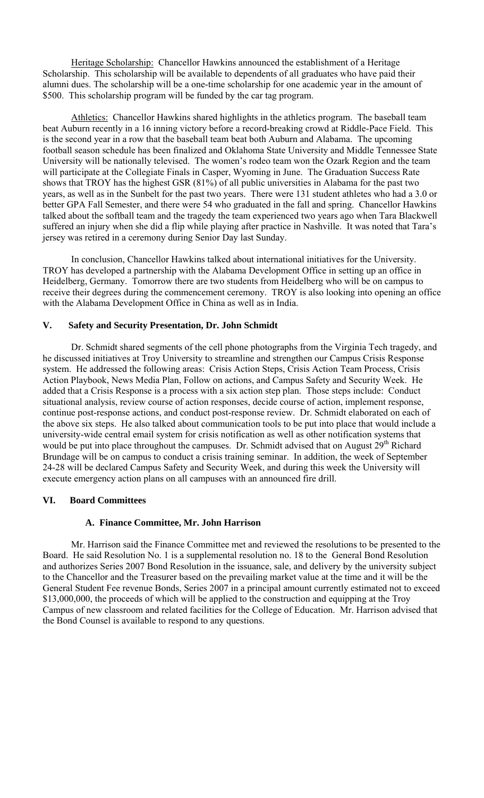Heritage Scholarship: Chancellor Hawkins announced the establishment of a Heritage Scholarship. This scholarship will be available to dependents of all graduates who have paid their alumni dues. The scholarship will be a one-time scholarship for one academic year in the amount of \$500. This scholarship program will be funded by the car tag program.

Athletics: Chancellor Hawkins shared highlights in the athletics program. The baseball team beat Auburn recently in a 16 inning victory before a record-breaking crowd at Riddle-Pace Field. This is the second year in a row that the baseball team beat both Auburn and Alabama. The upcoming football season schedule has been finalized and Oklahoma State University and Middle Tennessee State University will be nationally televised. The women's rodeo team won the Ozark Region and the team will participate at the Collegiate Finals in Casper, Wyoming in June. The Graduation Success Rate shows that TROY has the highest GSR (81%) of all public universities in Alabama for the past two years, as well as in the Sunbelt for the past two years. There were 131 student athletes who had a 3.0 or better GPA Fall Semester, and there were 54 who graduated in the fall and spring. Chancellor Hawkins talked about the softball team and the tragedy the team experienced two years ago when Tara Blackwell suffered an injury when she did a flip while playing after practice in Nashville. It was noted that Tara's jersey was retired in a ceremony during Senior Day last Sunday.

 In conclusion, Chancellor Hawkins talked about international initiatives for the University. TROY has developed a partnership with the Alabama Development Office in setting up an office in Heidelberg, Germany. Tomorrow there are two students from Heidelberg who will be on campus to receive their degrees during the commencement ceremony. TROY is also looking into opening an office with the Alabama Development Office in China as well as in India.

## **V. Safety and Security Presentation, Dr. John Schmidt**

Dr. Schmidt shared segments of the cell phone photographs from the Virginia Tech tragedy, and he discussed initiatives at Troy University to streamline and strengthen our Campus Crisis Response system. He addressed the following areas: Crisis Action Steps, Crisis Action Team Process, Crisis Action Playbook, News Media Plan, Follow on actions, and Campus Safety and Security Week. He added that a Crisis Response is a process with a six action step plan. Those steps include: Conduct situational analysis, review course of action responses, decide course of action, implement response, continue post-response actions, and conduct post-response review. Dr. Schmidt elaborated on each of the above six steps. He also talked about communication tools to be put into place that would include a university-wide central email system for crisis notification as well as other notification systems that would be put into place throughout the campuses. Dr. Schmidt advised that on August 29<sup>th</sup> Richard Brundage will be on campus to conduct a crisis training seminar. In addition, the week of September 24-28 will be declared Campus Safety and Security Week, and during this week the University will execute emergency action plans on all campuses with an announced fire drill.

## **VI. Board Committees**

## **A. Finance Committee, Mr. John Harrison**

Mr. Harrison said the Finance Committee met and reviewed the resolutions to be presented to the Board. He said Resolution No. 1 is a supplemental resolution no. 18 to the General Bond Resolution and authorizes Series 2007 Bond Resolution in the issuance, sale, and delivery by the university subject to the Chancellor and the Treasurer based on the prevailing market value at the time and it will be the General Student Fee revenue Bonds, Series 2007 in a principal amount currently estimated not to exceed \$13,000,000, the proceeds of which will be applied to the construction and equipping at the Troy Campus of new classroom and related facilities for the College of Education. Mr. Harrison advised that the Bond Counsel is available to respond to any questions.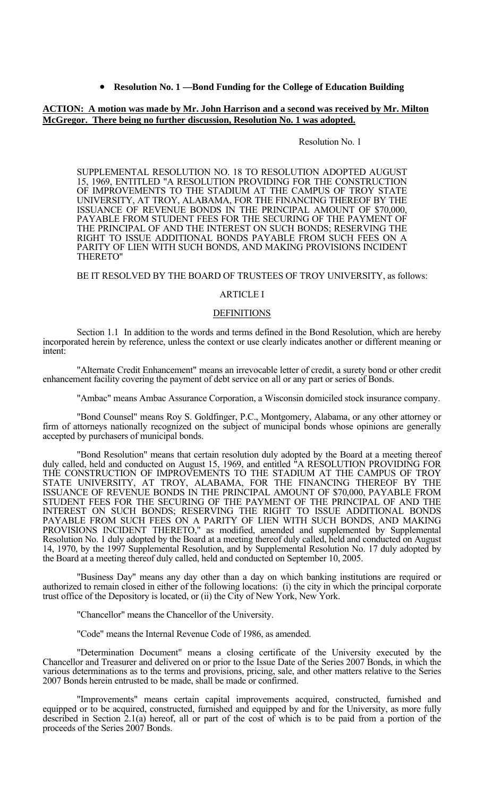• **Resolution No. 1 —Bond Funding for the College of Education Building**

#### **ACTION: A motion was made by Mr. John Harrison and a second was received by Mr. Milton McGregor. There being no further discussion, Resolution No. 1 was adopted.**

#### Resolution No. 1

 SUPPLEMENTAL RESOLUTION NO. 18 TO RESOLUTION ADOPTED AUGUST 15, 1969, ENTITLED "A RESOLUTION PROVIDING FOR THE CONSTRUCTION OF IMPROVEMENTS TO THE STADIUM AT THE CAMPUS OF TROY STATE UNIVERSITY, AT TROY, ALABAMA, FOR THE FINANCING THEREOF BY THE ISSUANCE OF REVENUE BONDS IN THE PRINCIPAL AMOUNT OF \$70,000, PAYABLE FROM STUDENT FEES FOR THE SECURING OF THE PAYMENT OF THE PRINCIPAL OF AND THE INTEREST ON SUCH BONDS; RESERVING THE RIGHT TO ISSUE ADDITIONAL BONDS PAYABLE FROM SUCH FEES ON A PARITY OF LIEN WITH SUCH BONDS, AND MAKING PROVISIONS INCIDENT THERETO"

#### BE IT RESOLVED BY THE BOARD OF TRUSTEES OF TROY UNIVERSITY, as follows:

#### ARTICLE I

#### **DEFINITIONS**

 Section 1.1 In addition to the words and terms defined in the Bond Resolution, which are hereby incorporated herein by reference, unless the context or use clearly indicates another or different meaning or intent:

 "Alternate Credit Enhancement" means an irrevocable letter of credit, a surety bond or other credit enhancement facility covering the payment of debt service on all or any part or series of Bonds.

"Ambac" means Ambac Assurance Corporation, a Wisconsin domiciled stock insurance company.

 "Bond Counsel" means Roy S. Goldfinger, P.C., Montgomery, Alabama, or any other attorney or firm of attorneys nationally recognized on the subject of municipal bonds whose opinions are generally accepted by purchasers of municipal bonds.

 "Bond Resolution" means that certain resolution duly adopted by the Board at a meeting thereof duly called, held and conducted on August 15, 1969, and entitled "A RESOLUTION PROVIDING FOR THE CONSTRUCTION OF IMPROVEMENTS TO THE STADIUM AT THE CAMPUS OF TROY STATE UNIVERSITY, AT TROY, ALABAMA, FOR THE FINANCING THEREOF BY THE ISSUANCE OF REVENUE BONDS IN THE PRINCIPAL AMOUNT OF \$70,000, PAYABLE FROM STUDENT FEES FOR THE SECURING OF THE PAYMENT OF THE PRINCIPAL OF AND THE INTEREST ON SUCH BONDS; RESERVING THE RIGHT TO ISSUE ADDITIONAL BONDS PAYABLE FROM SUCH FEES ON A PARITY OF LIEN WITH SUCH BONDS, AND MAKING PROVISIONS INCIDENT THERETO," as modified, amended and supplemented by Supplemental Resolution No. 1 duly adopted by the Board at a meeting thereof duly called, held and conducted on August 14, 1970, by the 1997 Supplemental Resolution, and by Supplemental Resolution No. 17 duly adopted by the Board at a meeting thereof duly called, held and conducted on September 10, 2005.

 "Business Day" means any day other than a day on which banking institutions are required or authorized to remain closed in either of the following locations: (i) the city in which the principal corporate trust office of the Depository is located, or (ii) the City of New York, New York.

"Chancellor" means the Chancellor of the University.

"Code" means the Internal Revenue Code of 1986, as amended.

 "Determination Document" means a closing certificate of the University executed by the Chancellor and Treasurer and delivered on or prior to the Issue Date of the Series 2007 Bonds, in which the various determinations as to the terms and provisions, pricing, sale, and other matters relative to the Series 2007 Bonds herein entrusted to be made, shall be made or confirmed.

 "Improvements" means certain capital improvements acquired, constructed, furnished and equipped or to be acquired, constructed, furnished and equipped by and for the University, as more fully described in Section 2.1(a) hereof, all or part of the cost of which is to be paid from a portion of the proceeds of the Series 2007 Bonds.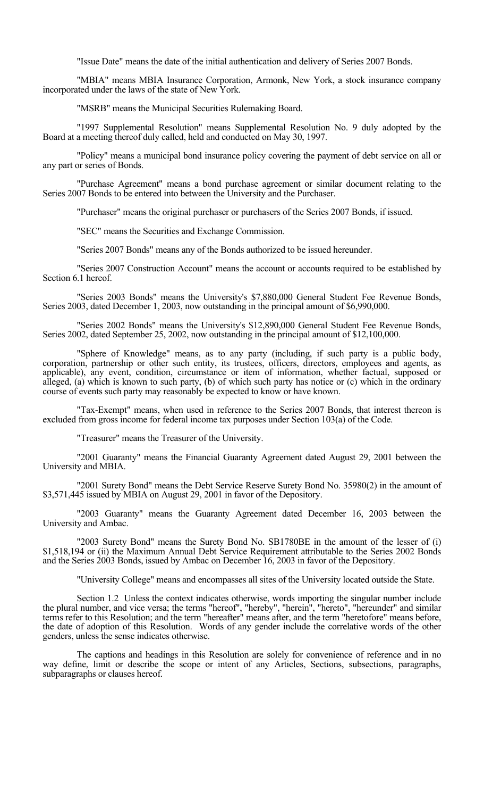"Issue Date" means the date of the initial authentication and delivery of Series 2007 Bonds.

 "MBIA" means MBIA Insurance Corporation, Armonk, New York, a stock insurance company incorporated under the laws of the state of New York.

"MSRB" means the Municipal Securities Rulemaking Board.

 "1997 Supplemental Resolution" means Supplemental Resolution No. 9 duly adopted by the Board at a meeting thereof duly called, held and conducted on May 30, 1997.

 "Policy" means a municipal bond insurance policy covering the payment of debt service on all or any part or series of Bonds.

 "Purchase Agreement" means a bond purchase agreement or similar document relating to the Series 2007 Bonds to be entered into between the University and the Purchaser.

"Purchaser" means the original purchaser or purchasers of the Series 2007 Bonds, if issued.

"SEC" means the Securities and Exchange Commission.

"Series 2007 Bonds" means any of the Bonds authorized to be issued hereunder.

 "Series 2007 Construction Account" means the account or accounts required to be established by Section 6.1 hereof.

 "Series 2003 Bonds" means the University's \$7,880,000 General Student Fee Revenue Bonds, Series 2003, dated December 1, 2003, now outstanding in the principal amount of \$6,990,000.

 "Series 2002 Bonds" means the University's \$12,890,000 General Student Fee Revenue Bonds, Series 2002, dated September 25, 2002, now outstanding in the principal amount of \$12,100,000.

 "Sphere of Knowledge" means, as to any party (including, if such party is a public body, corporation, partnership or other such entity, its trustees, officers, directors, employees and agents, as applicable), any event, condition, circumstance or item of information, whether factual, supposed or alleged, (a) which is known to such party, (b) of which such party has notice or (c) which in the ordinary course of events such party may reasonably be expected to know or have known.

 "Tax-Exempt" means, when used in reference to the Series 2007 Bonds, that interest thereon is excluded from gross income for federal income tax purposes under Section 103(a) of the Code.

"Treasurer" means the Treasurer of the University.

 "2001 Guaranty" means the Financial Guaranty Agreement dated August 29, 2001 between the University and MBIA.

 "2001 Surety Bond" means the Debt Service Reserve Surety Bond No. 35980(2) in the amount of \$3,571,445 issued by MBIA on August 29, 2001 in favor of the Depository.

 "2003 Guaranty" means the Guaranty Agreement dated December 16, 2003 between the University and Ambac.

 "2003 Surety Bond" means the Surety Bond No. SB1780BE in the amount of the lesser of (i) \$1,518,194 or (ii) the Maximum Annual Debt Service Requirement attributable to the Series 2002 Bonds and the Series 2003 Bonds, issued by Ambac on December 16, 2003 in favor of the Depository.

"University College" means and encompasses all sites of the University located outside the State.

 Section 1.2 Unless the context indicates otherwise, words importing the singular number include the plural number, and vice versa; the terms "hereof", "hereby", "herein", "hereto", "hereunder" and similar terms refer to this Resolution; and the term "hereafter" means after, and the term "heretofore" means before, the date of adoption of this Resolution. Words of any gender include the correlative words of the other genders, unless the sense indicates otherwise.

 The captions and headings in this Resolution are solely for convenience of reference and in no way define, limit or describe the scope or intent of any Articles, Sections, subsections, paragraphs, subparagraphs or clauses hereof.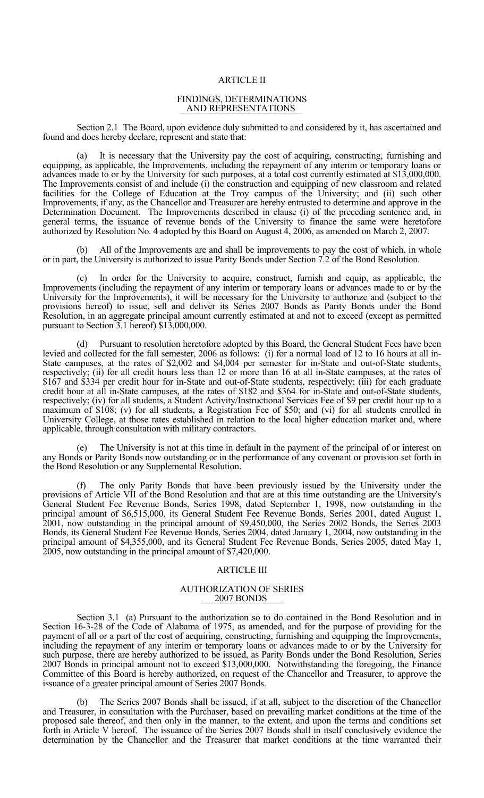#### ARTICLE II

#### FINDINGS, DETERMINATIONS AND REPRESENTATIONS

 Section 2.1 The Board, upon evidence duly submitted to and considered by it, has ascertained and found and does hereby declare, represent and state that:

 (a) It is necessary that the University pay the cost of acquiring, constructing, furnishing and equipping, as applicable, the Improvements, including the repayment of any interim or temporary loans or advances made to or by the University for such purposes, at a total cost currently estimated at \$13,000,000. The Improvements consist of and include (i) the construction and equipping of new classroom and related facilities for the College of Education at the Troy campus of the University; and (ii) such other Improvements, if any, as the Chancellor and Treasurer are hereby entrusted to determine and approve in the Determination Document. The Improvements described in clause (i) of the preceding sentence and, in general terms, the issuance of revenue bonds of the University to finance the same were heretofore authorized by Resolution No. 4 adopted by this Board on August 4, 2006, as amended on March 2, 2007.

 (b) All of the Improvements are and shall be improvements to pay the cost of which, in whole or in part, the University is authorized to issue Parity Bonds under Section 7.2 of the Bond Resolution.

 (c) In order for the University to acquire, construct, furnish and equip, as applicable, the Improvements (including the repayment of any interim or temporary loans or advances made to or by the University for the Improvements), it will be necessary for the University to authorize and (subject to the provisions hereof) to issue, sell and deliver its Series 2007 Bonds as Parity Bonds under the Bond Resolution, in an aggregate principal amount currently estimated at and not to exceed (except as permitted pursuant to Section 3.1 hereof) \$13,000,000.

 (d) Pursuant to resolution heretofore adopted by this Board, the General Student Fees have been levied and collected for the fall semester, 2006 as follows: (i) for a normal load of 12 to 16 hours at all in-State campuses, at the rates of \$2,002 and \$4,004 per semester for in-State and out-of-State students, respectively; (ii) for all credit hours less than 12 or more than 16 at all in-State campuses, at the rates of \$167 and \$334 per credit hour for in-State and out-of-State students, respectively; (iii) for each graduate credit hour at all in-State campuses, at the rates of \$182 and \$364 for in-State and out-of-State students, respectively; (iv) for all students, a Student Activity/Instructional Services Fee of \$9 per credit hour up to a maximum of \$108; (v) for all students, a Registration Fee of \$50; and (vi) for all students enrolled in University College, at those rates established in relation to the local higher education market and, where applicable, through consultation with military contractors.

 (e) The University is not at this time in default in the payment of the principal of or interest on any Bonds or Parity Bonds now outstanding or in the performance of any covenant or provision set forth in the Bond Resolution or any Supplemental Resolution.

The only Parity Bonds that have been previously issued by the University under the provisions of Article VII of the Bond Resolution and that are at this time outstanding are the University's General Student Fee Revenue Bonds, Series 1998, dated September 1, 1998, now outstanding in the principal amount of \$6,515,000, its General Student Fee Revenue Bonds, Series 2001, dated August 1, 2001, now outstanding in the principal amount of \$9,450,000, the Series 2002 Bonds, the Series 2003 Bonds, its General Student Fee Revenue Bonds, Series 2004, dated January 1, 2004, now outstanding in the principal amount of \$4,355,000, and its General Student Fee Revenue Bonds, Series 2005, dated May 1, 2005, now outstanding in the principal amount of \$7,420,000.

#### ARTICLE III

#### AUTHORIZATION OF SERIES 2007 BONDS

 Section 3.1 (a) Pursuant to the authorization so to do contained in the Bond Resolution and in Section 16-3-28 of the Code of Alabama of 1975, as amended, and for the purpose of providing for the payment of all or a part of the cost of acquiring, constructing, furnishing and equipping the Improvements, including the repayment of any interim or temporary loans or advances made to or by the University for such purpose, there are hereby authorized to be issued, as Parity Bonds under the Bond Resolution, Series 2007 Bonds in principal amount not to exceed \$13,000,000. Notwithstanding the foregoing, the Finance Committee of this Board is hereby authorized, on request of the Chancellor and Treasurer, to approve the issuance of a greater principal amount of Series 2007 Bonds.

 (b) The Series 2007 Bonds shall be issued, if at all, subject to the discretion of the Chancellor and Treasurer, in consultation with the Purchaser, based on prevailing market conditions at the time of the proposed sale thereof, and then only in the manner, to the extent, and upon the terms and conditions set forth in Article V hereof. The issuance of the Series 2007 Bonds shall in itself conclusively evidence the determination by the Chancellor and the Treasurer that market conditions at the time warranted their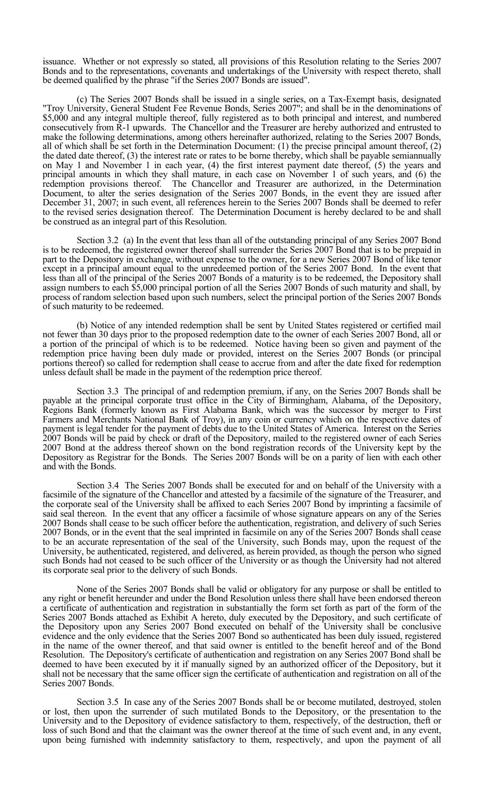issuance. Whether or not expressly so stated, all provisions of this Resolution relating to the Series 2007 Bonds and to the representations, covenants and undertakings of the University with respect thereto, shall be deemed qualified by the phrase "if the Series 2007 Bonds are issued".

 (c) The Series 2007 Bonds shall be issued in a single series, on a Tax-Exempt basis, designated "Troy University, General Student Fee Revenue Bonds, Series 2007"; and shall be in the denominations of \$5,000 and any integral multiple thereof, fully registered as to both principal and interest, and numbered consecutively from R-1 upwards. The Chancellor and the Treasurer are hereby authorized and entrusted to make the following determinations, among others hereinafter authorized, relating to the Series 2007 Bonds, all of which shall be set forth in the Determination Document: (1) the precise principal amount thereof,  $(2)$ the dated date thereof, (3) the interest rate or rates to be borne thereby, which shall be payable semiannually on May 1 and November 1 in each year, (4) the first interest payment date thereof, (5) the years and principal amounts in which they shall mature, in each case on November 1 of such years, and (6) the redemption provisions thereof. The Chancellor and Treasurer are authorized, in the Determination Document, to alter the series designation of the Series 2007 Bonds, in the event they are issued after December 31, 2007; in such event, all references herein to the Series 2007 Bonds shall be deemed to refer to the revised series designation thereof. The Determination Document is hereby declared to be and shall be construed as an integral part of this Resolution.

 Section 3.2 (a) In the event that less than all of the outstanding principal of any Series 2007 Bond is to be redeemed, the registered owner thereof shall surrender the Series 2007 Bond that is to be prepaid in part to the Depository in exchange, without expense to the owner, for a new Series 2007 Bond of like tenor except in a principal amount equal to the unredeemed portion of the Series 2007 Bond. In the event that less than all of the principal of the Series 2007 Bonds of a maturity is to be redeemed, the Depository shall assign numbers to each \$5,000 principal portion of all the Series 2007 Bonds of such maturity and shall, by process of random selection based upon such numbers, select the principal portion of the Series 2007 Bonds of such maturity to be redeemed.

 (b) Notice of any intended redemption shall be sent by United States registered or certified mail not fewer than 30 days prior to the proposed redemption date to the owner of each Series 2007 Bond, all or a portion of the principal of which is to be redeemed. Notice having been so given and payment of the redemption price having been duly made or provided, interest on the Series 2007 Bonds (or principal portions thereof) so called for redemption shall cease to accrue from and after the date fixed for redemption unless default shall be made in the payment of the redemption price thereof.

 Section 3.3 The principal of and redemption premium, if any, on the Series 2007 Bonds shall be payable at the principal corporate trust office in the City of Birmingham, Alabama, of the Depository, Regions Bank (formerly known as First Alabama Bank, which was the successor by merger to First Farmers and Merchants National Bank of Troy), in any coin or currency which on the respective dates of payment is legal tender for the payment of debts due to the United States of America. Interest on the Series 2007 Bonds will be paid by check or draft of the Depository, mailed to the registered owner of each Series 2007 Bond at the address thereof shown on the bond registration records of the University kept by the Depository as Registrar for the Bonds. The Series 2007 Bonds will be on a parity of lien with each other and with the Bonds.

 Section 3.4 The Series 2007 Bonds shall be executed for and on behalf of the University with a facsimile of the signature of the Chancellor and attested by a facsimile of the signature of the Treasurer, and the corporate seal of the University shall be affixed to each Series 2007 Bond by imprinting a facsimile of said seal thereon. In the event that any officer a facsimile of whose signature appears on any of the Series 2007 Bonds shall cease to be such officer before the authentication, registration, and delivery of such Series 2007 Bonds, or in the event that the seal imprinted in facsimile on any of the Series 2007 Bonds shall cease to be an accurate representation of the seal of the University, such Bonds may, upon the request of the University, be authenticated, registered, and delivered, as herein provided, as though the person who signed such Bonds had not ceased to be such officer of the University or as though the University had not altered its corporate seal prior to the delivery of such Bonds.

 None of the Series 2007 Bonds shall be valid or obligatory for any purpose or shall be entitled to any right or benefit hereunder and under the Bond Resolution unless there shall have been endorsed thereon a certificate of authentication and registration in substantially the form set forth as part of the form of the Series 2007 Bonds attached as Exhibit A hereto, duly executed by the Depository, and such certificate of the Depository upon any Series 2007 Bond executed on behalf of the University shall be conclusive evidence and the only evidence that the Series 2007 Bond so authenticated has been duly issued, registered in the name of the owner thereof, and that said owner is entitled to the benefit hereof and of the Bond Resolution. The Depository's certificate of authentication and registration on any Series 2007 Bond shall be deemed to have been executed by it if manually signed by an authorized officer of the Depository, but it shall not be necessary that the same officer sign the certificate of authentication and registration on all of the Series 2007 Bonds.

 Section 3.5 In case any of the Series 2007 Bonds shall be or become mutilated, destroyed, stolen or lost, then upon the surrender of such mutilated Bonds to the Depository, or the presentation to the University and to the Depository of evidence satisfactory to them, respectively, of the destruction, theft or loss of such Bond and that the claimant was the owner thereof at the time of such event and, in any event, upon being furnished with indemnity satisfactory to them, respectively, and upon the payment of all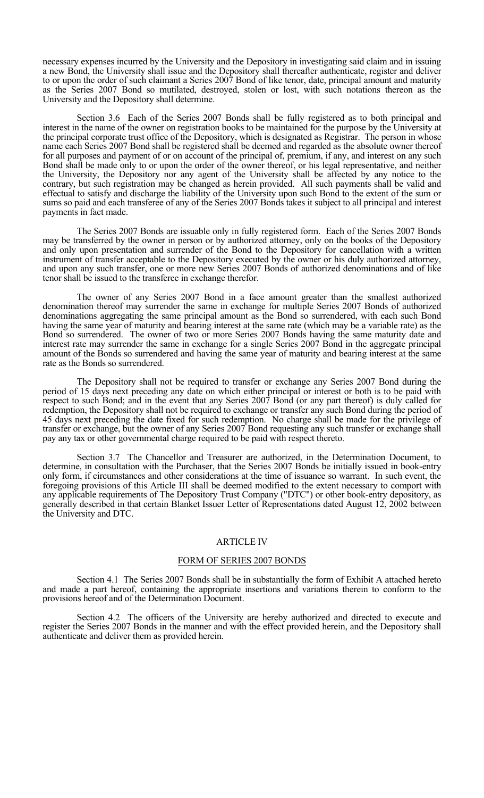necessary expenses incurred by the University and the Depository in investigating said claim and in issuing a new Bond, the University shall issue and the Depository shall thereafter authenticate, register and deliver to or upon the order of such claimant a Series 2007 Bond of like tenor, date, principal amount and maturity as the Series 2007 Bond so mutilated, destroyed, stolen or lost, with such notations thereon as the University and the Depository shall determine.

 Section 3.6 Each of the Series 2007 Bonds shall be fully registered as to both principal and interest in the name of the owner on registration books to be maintained for the purpose by the University at the principal corporate trust office of the Depository, which is designated as Registrar. The person in whose name each Series 2007 Bond shall be registered shall be deemed and regarded as the absolute owner thereof for all purposes and payment of or on account of the principal of, premium, if any, and interest on any such Bond shall be made only to or upon the order of the owner thereof, or his legal representative, and neither the University, the Depository nor any agent of the University shall be affected by any notice to the contrary, but such registration may be changed as herein provided. All such payments shall be valid and effectual to satisfy and discharge the liability of the University upon such Bond to the extent of the sum or sums so paid and each transferee of any of the Series 2007 Bonds takes it subject to all principal and interest payments in fact made.

 The Series 2007 Bonds are issuable only in fully registered form. Each of the Series 2007 Bonds may be transferred by the owner in person or by authorized attorney, only on the books of the Depository and only upon presentation and surrender of the Bond to the Depository for cancellation with a written instrument of transfer acceptable to the Depository executed by the owner or his duly authorized attorney, and upon any such transfer, one or more new Series 2007 Bonds of authorized denominations and of like tenor shall be issued to the transferee in exchange therefor.

 The owner of any Series 2007 Bond in a face amount greater than the smallest authorized denomination thereof may surrender the same in exchange for multiple Series 2007 Bonds of authorized denominations aggregating the same principal amount as the Bond so surrendered, with each such Bond having the same year of maturity and bearing interest at the same rate (which may be a variable rate) as the Bond so surrendered. The owner of two or more Series 2007 Bonds having the same maturity date and interest rate may surrender the same in exchange for a single Series 2007 Bond in the aggregate principal amount of the Bonds so surrendered and having the same year of maturity and bearing interest at the same rate as the Bonds so surrendered.

 The Depository shall not be required to transfer or exchange any Series 2007 Bond during the period of 15 days next preceding any date on which either principal or interest or both is to be paid with respect to such Bond; and in the event that any Series 2007 Bond (or any part thereof) is duly called for redemption, the Depository shall not be required to exchange or transfer any such Bond during the period of 45 days next preceding the date fixed for such redemption. No charge shall be made for the privilege of transfer or exchange, but the owner of any Series 2007 Bond requesting any such transfer or exchange shall pay any tax or other governmental charge required to be paid with respect thereto.

 Section 3.7 The Chancellor and Treasurer are authorized, in the Determination Document, to determine, in consultation with the Purchaser, that the Series 2007 Bonds be initially issued in book-entry only form, if circumstances and other considerations at the time of issuance so warrant. In such event, the foregoing provisions of this Article III shall be deemed modified to the extent necessary to comport with any applicable requirements of The Depository Trust Company ("DTC") or other book-entry depository, as generally described in that certain Blanket Issuer Letter of Representations dated August 12, 2002 between the University and DTC.

#### ARTICLE IV

#### FORM OF SERIES 2007 BONDS

 Section 4.1 The Series 2007 Bonds shall be in substantially the form of Exhibit A attached hereto and made a part hereof, containing the appropriate insertions and variations therein to conform to the provisions hereof and of the Determination Document.

 Section 4.2 The officers of the University are hereby authorized and directed to execute and register the Series 2007 Bonds in the manner and with the effect provided herein, and the Depository shall authenticate and deliver them as provided herein.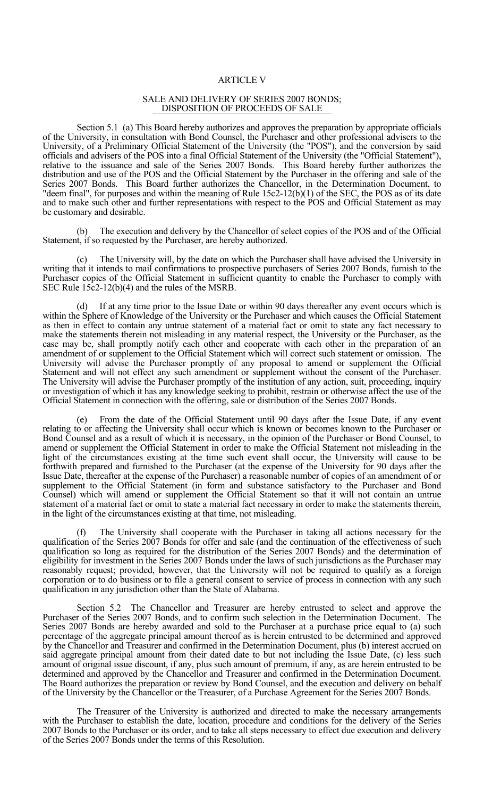#### ARTICLE V

#### SALE AND DELIVERY OF SERIES 2007 BONDS; DISPOSITION OF PROCEEDS OF SALE

 Section 5.1 (a) This Board hereby authorizes and approves the preparation by appropriate officials of the University, in consultation with Bond Counsel, the Purchaser and other professional advisers to the University, of a Preliminary Official Statement of the University (the "POS"), and the conversion by said officials and advisers of the POS into a final Official Statement of the University (the "Official Statement"), relative to the issuance and sale of the Series 2007 Bonds. This Board hereby further authorizes the distribution and use of the POS and the Official Statement by the Purchaser in the offering and sale of the Series 2007 Bonds. This Board further authorizes the Chancellor, in the Determination Document, to "deem final", for purposes and within the meaning of Rule 15c2-12(b)(1) of the SEC, the POS as of its date and to make such other and further representations with respect to the POS and Official Statement as may be customary and desirable.

 (b) The execution and delivery by the Chancellor of select copies of the POS and of the Official Statement, if so requested by the Purchaser, are hereby authorized.

 (c) The University will, by the date on which the Purchaser shall have advised the University in writing that it intends to mail confirmations to prospective purchasers of Series 2007 Bonds, furnish to the Purchaser copies of the Official Statement in sufficient quantity to enable the Purchaser to comply with SEC Rule 15c2-12(b)(4) and the rules of the MSRB.

 (d) If at any time prior to the Issue Date or within 90 days thereafter any event occurs which is within the Sphere of Knowledge of the University or the Purchaser and which causes the Official Statement as then in effect to contain any untrue statement of a material fact or omit to state any fact necessary to make the statements therein not misleading in any material respect, the University or the Purchaser, as the case may be, shall promptly notify each other and cooperate with each other in the preparation of an amendment of or supplement to the Official Statement which will correct such statement or omission. The University will advise the Purchaser promptly of any proposal to amend or supplement the Official Statement and will not effect any such amendment or supplement without the consent of the Purchaser. The University will advise the Purchaser promptly of the institution of any action, suit, proceeding, inquiry or investigation of which it has any knowledge seeking to prohibit, restrain or otherwise affect the use of the Official Statement in connection with the offering, sale or distribution of the Series 2007 Bonds.

 (e) From the date of the Official Statement until 90 days after the Issue Date, if any event relating to or affecting the University shall occur which is known or becomes known to the Purchaser or Bond Counsel and as a result of which it is necessary, in the opinion of the Purchaser or Bond Counsel, to amend or supplement the Official Statement in order to make the Official Statement not misleading in the light of the circumstances existing at the time such event shall occur, the University will cause to be forthwith prepared and furnished to the Purchaser (at the expense of the University for 90 days after the Issue Date, thereafter at the expense of the Purchaser) a reasonable number of copies of an amendment of or supplement to the Official Statement (in form and substance satisfactory to the Purchaser and Bond Counsel) which will amend or supplement the Official Statement so that it will not contain an untrue statement of a material fact or omit to state a material fact necessary in order to make the statements therein, in the light of the circumstances existing at that time, not misleading.

 (f) The University shall cooperate with the Purchaser in taking all actions necessary for the qualification of the Series 2007 Bonds for offer and sale (and the continuation of the effectiveness of such qualification so long as required for the distribution of the Series 2007 Bonds) and the determination of eligibility for investment in the Series 2007 Bonds under the laws of such jurisdictions as the Purchaser may reasonably request; provided, however, that the University will not be required to qualify as a foreign corporation or to do business or to file a general consent to service of process in connection with any such qualification in any jurisdiction other than the State of Alabama.

 Section 5.2 The Chancellor and Treasurer are hereby entrusted to select and approve the Purchaser of the Series 2007 Bonds, and to confirm such selection in the Determination Document. The Series 2007 Bonds are hereby awarded and sold to the Purchaser at a purchase price equal to (a) such percentage of the aggregate principal amount thereof as is herein entrusted to be determined and approved by the Chancellor and Treasurer and confirmed in the Determination Document, plus (b) interest accrued on said aggregate principal amount from their dated date to but not including the Issue Date, (c) less such amount of original issue discount, if any, plus such amount of premium, if any, as are herein entrusted to be determined and approved by the Chancellor and Treasurer and confirmed in the Determination Document. The Board authorizes the preparation or review by Bond Counsel, and the execution and delivery on behalf of the University by the Chancellor or the Treasurer, of a Purchase Agreement for the Series 2007 Bonds.

 The Treasurer of the University is authorized and directed to make the necessary arrangements with the Purchaser to establish the date, location, procedure and conditions for the delivery of the Series 2007 Bonds to the Purchaser or its order, and to take all steps necessary to effect due execution and delivery of the Series 2007 Bonds under the terms of this Resolution.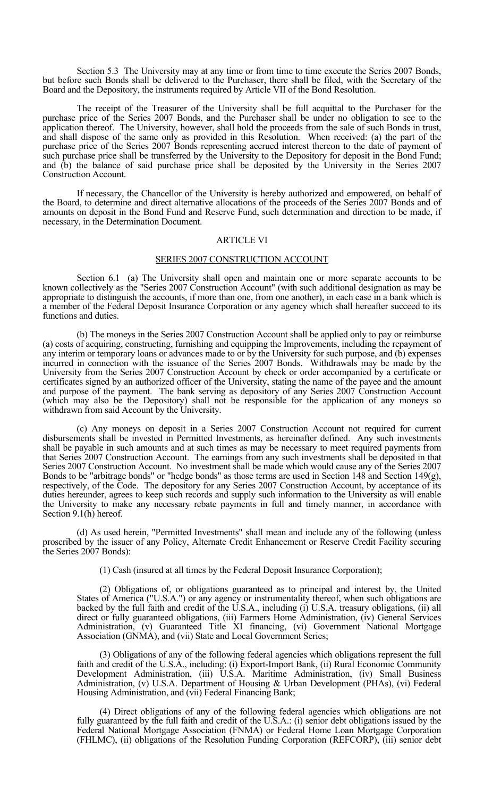Section 5.3 The University may at any time or from time to time execute the Series 2007 Bonds, but before such Bonds shall be delivered to the Purchaser, there shall be filed, with the Secretary of the Board and the Depository, the instruments required by Article VII of the Bond Resolution.

 The receipt of the Treasurer of the University shall be full acquittal to the Purchaser for the purchase price of the Series 2007 Bonds, and the Purchaser shall be under no obligation to see to the application thereof. The University, however, shall hold the proceeds from the sale of such Bonds in trust, and shall dispose of the same only as provided in this Resolution. When received: (a) the part of the purchase price of the Series 2007 Bonds representing accrued interest thereon to the date of payment of such purchase price shall be transferred by the University to the Depository for deposit in the Bond Fund; and (b) the balance of said purchase price shall be deposited by the University in the Series 2007 Construction Account.

 If necessary, the Chancellor of the University is hereby authorized and empowered, on behalf of the Board, to determine and direct alternative allocations of the proceeds of the Series 2007 Bonds and of amounts on deposit in the Bond Fund and Reserve Fund, such determination and direction to be made, if necessary, in the Determination Document.

#### ARTICLE VI

#### SERIES 2007 CONSTRUCTION ACCOUNT

Section 6.1 (a) The University shall open and maintain one or more separate accounts to be known collectively as the "Series 2007 Construction Account" (with such additional designation as may be appropriate to distinguish the accounts, if more than one, from one another), in each case in a bank which is a member of the Federal Deposit Insurance Corporation or any agency which shall hereafter succeed to its functions and duties.

 (b) The moneys in the Series 2007 Construction Account shall be applied only to pay or reimburse (a) costs of acquiring, constructing, furnishing and equipping the Improvements, including the repayment of any interim or temporary loans or advances made to or by the University for such purpose, and (b) expenses incurred in connection with the issuance of the Series 2007 Bonds. Withdrawals may be made by the University from the Series 2007 Construction Account by check or order accompanied by a certificate or certificates signed by an authorized officer of the University, stating the name of the payee and the amount and purpose of the payment. The bank serving as depository of any Series 2007 Construction Account (which may also be the Depository) shall not be responsible for the application of any moneys so withdrawn from said Account by the University.

 (c) Any moneys on deposit in a Series 2007 Construction Account not required for current disbursements shall be invested in Permitted Investments, as hereinafter defined. Any such investments shall be payable in such amounts and at such times as may be necessary to meet required payments from that Series 2007 Construction Account. The earnings from any such investments shall be deposited in that Series 2007 Construction Account. No investment shall be made which would cause any of the Series 2007 Bonds to be "arbitrage bonds" or "hedge bonds" as those terms are used in Section 148 and Section 149 $(g)$ , respectively, of the Code. The depository for any Series 2007 Construction Account, by acceptance of its duties hereunder, agrees to keep such records and supply such information to the University as will enable the University to make any necessary rebate payments in full and timely manner, in accordance with Section 9.1(h) hereof.

 (d) As used herein, "Permitted Investments" shall mean and include any of the following (unless proscribed by the issuer of any Policy, Alternate Credit Enhancement or Reserve Credit Facility securing the Series 2007 Bonds):

(1) Cash (insured at all times by the Federal Deposit Insurance Corporation);

 (2) Obligations of, or obligations guaranteed as to principal and interest by, the United States of America ("U.S.A.") or any agency or instrumentality thereof, when such obligations are backed by the full faith and credit of the U.S.A., including (i) U.S.A. treasury obligations, (ii) all direct or fully guaranteed obligations, (iii) Farmers Home Administration, (iv) General Services Administration, (v) Guaranteed Title XI financing, (vi) Government National Mortgage Association (GNMA), and (vii) State and Local Government Series;

 (3) Obligations of any of the following federal agencies which obligations represent the full faith and credit of the U.S.A., including: (i) Export-Import Bank, (ii) Rural Economic Community Development Administration, (iii) U.S.A. Maritime Administration, (iv) Small Business Administration, (v) U.S.A. Department of Housing & Urban Development (PHAs), (vi) Federal Housing Administration, and (vii) Federal Financing Bank;

 (4) Direct obligations of any of the following federal agencies which obligations are not fully guaranteed by the full faith and credit of the U.S.A.: (i) senior debt obligations issued by the Federal National Mortgage Association (FNMA) or Federal Home Loan Mortgage Corporation (FHLMC), (ii) obligations of the Resolution Funding Corporation (REFCORP), (iii) senior debt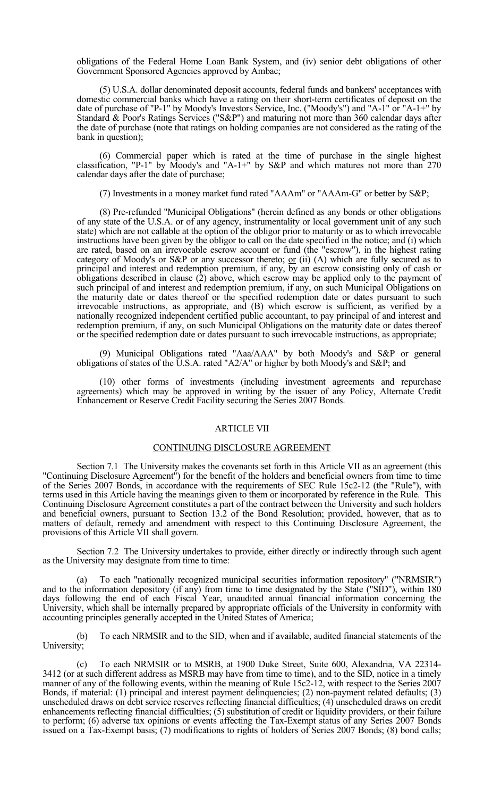obligations of the Federal Home Loan Bank System, and (iv) senior debt obligations of other Government Sponsored Agencies approved by Ambac;

 (5) U.S.A. dollar denominated deposit accounts, federal funds and bankers' acceptances with domestic commercial banks which have a rating on their short-term certificates of deposit on the date of purchase of "P-1" by Moody's Investors Service, Inc. ("Moody's") and "A-1" or "A-1+" by Standard & Poor's Ratings Services ("S&P") and maturing not more than 360 calendar days after the date of purchase (note that ratings on holding companies are not considered as the rating of the bank in question);

 (6) Commercial paper which is rated at the time of purchase in the single highest classification, "P-1" by Moody's and "A-1+" by S&P and which matures not more than 270 calendar days after the date of purchase;

(7) Investments in a money market fund rated "AAAm" or "AAAm-G" or better by S&P;

 (8) Pre-refunded "Municipal Obligations" (herein defined as any bonds or other obligations of any state of the U.S.A. or of any agency, instrumentality or local government unit of any such state) which are not callable at the option of the obligor prior to maturity or as to which irrevocable instructions have been given by the obligor to call on the date specified in the notice; and (i) which are rated, based on an irrevocable escrow account or fund (the "escrow"), in the highest rating category of Moody's or S&P or any successor thereto;  $or$  (ii) (A) which are fully secured as to</u> principal and interest and redemption premium, if any, by an escrow consisting only of cash or obligations described in clause (2) above, which escrow may be applied only to the payment of such principal of and interest and redemption premium, if any, on such Municipal Obligations on the maturity date or dates thereof or the specified redemption date or dates pursuant to such irrevocable instructions, as appropriate, and (B) which escrow is sufficient, as verified by a nationally recognized independent certified public accountant, to pay principal of and interest and redemption premium, if any, on such Municipal Obligations on the maturity date or dates thereof or the specified redemption date or dates pursuant to such irrevocable instructions, as appropriate;

 (9) Municipal Obligations rated "Aaa/AAA" by both Moody's and S&P or general obligations of states of the U.S.A. rated "A2/A" or higher by both Moody's and S&P; and

 (10) other forms of investments (including investment agreements and repurchase agreements) which may be approved in writing by the issuer of any Policy, Alternate Credit Enhancement or Reserve Credit Facility securing the Series 2007 Bonds.

#### ARTICLE VII

### CONTINUING DISCLOSURE AGREEMENT

 Section 7.1 The University makes the covenants set forth in this Article VII as an agreement (this "Continuing Disclosure Agreement") for the benefit of the holders and beneficial owners from time to time of the Series 2007 Bonds, in accordance with the requirements of SEC Rule 15c2-12 (the "Rule"), with terms used in this Article having the meanings given to them or incorporated by reference in the Rule. This Continuing Disclosure Agreement constitutes a part of the contract between the University and such holders and beneficial owners, pursuant to Section 13.2 of the Bond Resolution; provided, however, that as to matters of default, remedy and amendment with respect to this Continuing Disclosure Agreement, the provisions of this Article VII shall govern.

Section 7.2 The University undertakes to provide, either directly or indirectly through such agent as the University may designate from time to time:

 (a) To each "nationally recognized municipal securities information repository" ("NRMSIR") and to the information depository (if any) from time to time designated by the State ("SID"), within 180 days following the end of each Fiscal Year, unaudited annual financial information concerning the University, which shall be internally prepared by appropriate officials of the University in conformity with accounting principles generally accepted in the United States of America;

 (b) To each NRMSIR and to the SID, when and if available, audited financial statements of the University;

 (c) To each NRMSIR or to MSRB, at 1900 Duke Street, Suite 600, Alexandria, VA 22314- 3412 (or at such different address as MSRB may have from time to time), and to the SID, notice in a timely manner of any of the following events, within the meaning of Rule 15c2-12, with respect to the Series 2007 Bonds, if material: (1) principal and interest payment delinquencies; (2) non-payment related defaults; (3) unscheduled draws on debt service reserves reflecting financial difficulties; (4) unscheduled draws on credit enhancements reflecting financial difficulties; (5) substitution of credit or liquidity providers, or their failure to perform; (6) adverse tax opinions or events affecting the Tax-Exempt status of any Series 2007 Bonds issued on a Tax-Exempt basis; (7) modifications to rights of holders of Series 2007 Bonds; (8) bond calls;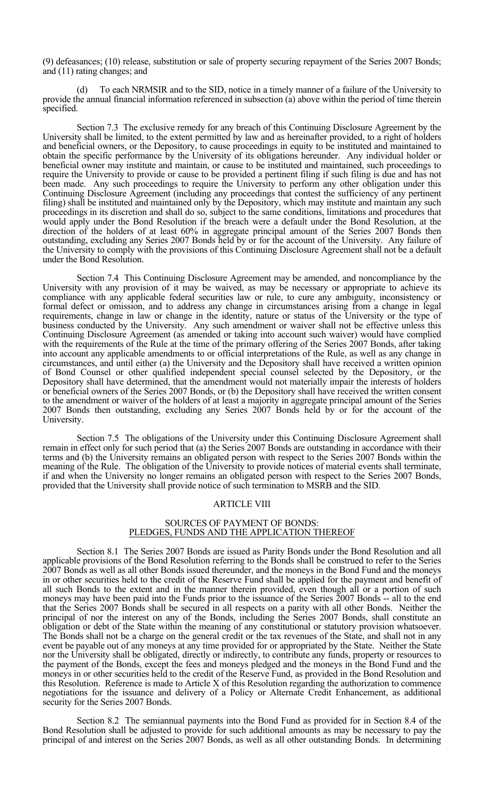(9) defeasances; (10) release, substitution or sale of property securing repayment of the Series 2007 Bonds; and (11) rating changes; and

 (d) To each NRMSIR and to the SID, notice in a timely manner of a failure of the University to provide the annual financial information referenced in subsection (a) above within the period of time therein specified.

 Section 7.3 The exclusive remedy for any breach of this Continuing Disclosure Agreement by the University shall be limited, to the extent permitted by law and as hereinafter provided, to a right of holders and beneficial owners, or the Depository, to cause proceedings in equity to be instituted and maintained to obtain the specific performance by the University of its obligations hereunder. Any individual holder or beneficial owner may institute and maintain, or cause to be instituted and maintained, such proceedings to require the University to provide or cause to be provided a pertinent filing if such filing is due and has not been made. Any such proceedings to require the University to perform any other obligation under this Continuing Disclosure Agreement (including any proceedings that contest the sufficiency of any pertinent filing) shall be instituted and maintained only by the Depository, which may institute and maintain any such proceedings in its discretion and shall do so, subject to the same conditions, limitations and procedures that would apply under the Bond Resolution if the breach were a default under the Bond Resolution, at the direction of the holders of at least 60% in aggregate principal amount of the Series 2007 Bonds then outstanding, excluding any Series 2007 Bonds held by or for the account of the University. Any failure of the University to comply with the provisions of this Continuing Disclosure Agreement shall not be a default under the Bond Resolution.

 Section 7.4 This Continuing Disclosure Agreement may be amended, and noncompliance by the University with any provision of it may be waived, as may be necessary or appropriate to achieve its compliance with any applicable federal securities law or rule, to cure any ambiguity, inconsistency or formal defect or omission, and to address any change in circumstances arising from a change in legal requirements, change in law or change in the identity, nature or status of the University or the type of business conducted by the University. Any such amendment or waiver shall not be effective unless this Continuing Disclosure Agreement (as amended or taking into account such waiver) would have complied with the requirements of the Rule at the time of the primary offering of the Series 2007 Bonds, after taking into account any applicable amendments to or official interpretations of the Rule, as well as any change in circumstances, and until either (a) the University and the Depository shall have received a written opinion of Bond Counsel or other qualified independent special counsel selected by the Depository, or the Depository shall have determined, that the amendment would not materially impair the interests of holders or beneficial owners of the Series 2007 Bonds, or (b) the Depository shall have received the written consent to the amendment or waiver of the holders of at least a majority in aggregate principal amount of the Series 2007 Bonds then outstanding, excluding any Series 2007 Bonds held by or for the account of the University.

Section 7.5 The obligations of the University under this Continuing Disclosure Agreement shall remain in effect only for such period that (a) the Series 2007 Bonds are outstanding in accordance with their terms and (b) the University remains an obligated person with respect to the Series 2007 Bonds within the meaning of the Rule. The obligation of the University to provide notices of material events shall terminate, if and when the University no longer remains an obligated person with respect to the Series 2007 Bonds, provided that the University shall provide notice of such termination to MSRB and the SID.

#### ARTICLE VIII

### SOURCES OF PAYMENT OF BONDS: PLEDGES, FUNDS AND THE APPLICATION THEREOF

 Section 8.1 The Series 2007 Bonds are issued as Parity Bonds under the Bond Resolution and all applicable provisions of the Bond Resolution referring to the Bonds shall be construed to refer to the Series 2007 Bonds as well as all other Bonds issued thereunder, and the moneys in the Bond Fund and the moneys in or other securities held to the credit of the Reserve Fund shall be applied for the payment and benefit of all such Bonds to the extent and in the manner therein provided, even though all or a portion of such moneys may have been paid into the Funds prior to the issuance of the Series 2007 Bonds -- all to the end that the Series 2007 Bonds shall be secured in all respects on a parity with all other Bonds. Neither the principal of nor the interest on any of the Bonds, including the Series 2007 Bonds, shall constitute an obligation or debt of the State within the meaning of any constitutional or statutory provision whatsoever. The Bonds shall not be a charge on the general credit or the tax revenues of the State, and shall not in any event be payable out of any moneys at any time provided for or appropriated by the State. Neither the State nor the University shall be obligated, directly or indirectly, to contribute any funds, property or resources to the payment of the Bonds, except the fees and moneys pledged and the moneys in the Bond Fund and the moneys in or other securities held to the credit of the Reserve Fund, as provided in the Bond Resolution and this Resolution. Reference is made to Article X of this Resolution regarding the authorization to commence negotiations for the issuance and delivery of a Policy or Alternate Credit Enhancement, as additional security for the Series 2007 Bonds.

 Section 8.2 The semiannual payments into the Bond Fund as provided for in Section 8.4 of the Bond Resolution shall be adjusted to provide for such additional amounts as may be necessary to pay the principal of and interest on the Series 2007 Bonds, as well as all other outstanding Bonds. In determining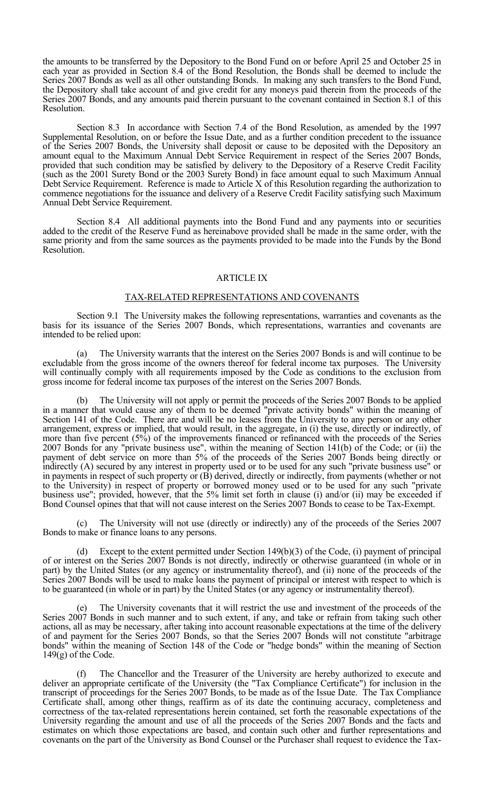the amounts to be transferred by the Depository to the Bond Fund on or before April 25 and October 25 in each year as provided in Section 8.4 of the Bond Resolution, the Bonds shall be deemed to include the Series 2007 Bonds as well as all other outstanding Bonds. In making any such transfers to the Bond Fund, the Depository shall take account of and give credit for any moneys paid therein from the proceeds of the Series 2007 Bonds, and any amounts paid therein pursuant to the covenant contained in Section 8.1 of this Resolution.

 Section 8.3 In accordance with Section 7.4 of the Bond Resolution, as amended by the 1997 Supplemental Resolution, on or before the Issue Date, and as a further condition precedent to the issuance of the Series 2007 Bonds, the University shall deposit or cause to be deposited with the Depository an amount equal to the Maximum Annual Debt Service Requirement in respect of the Series 2007 Bonds, provided that such condition may be satisfied by delivery to the Depository of a Reserve Credit Facility (such as the 2001 Surety Bond or the 2003 Surety Bond) in face amount equal to such Maximum Annual Debt Service Requirement. Reference is made to Article X of this Resolution regarding the authorization to commence negotiations for the issuance and delivery of a Reserve Credit Facility satisfying such Maximum Annual Debt Service Requirement.

 Section 8.4 All additional payments into the Bond Fund and any payments into or securities added to the credit of the Reserve Fund as hereinabove provided shall be made in the same order, with the same priority and from the same sources as the payments provided to be made into the Funds by the Bond Resolution.

#### ARTICLE IX

#### TAX-RELATED REPRESENTATIONS AND COVENANTS

 Section 9.1 The University makes the following representations, warranties and covenants as the basis for its issuance of the Series 2007 Bonds, which representations, warranties and covenants are intended to be relied upon:

 (a) The University warrants that the interest on the Series 2007 Bonds is and will continue to be excludable from the gross income of the owners thereof for federal income tax purposes. The University will continually comply with all requirements imposed by the Code as conditions to the exclusion from gross income for federal income tax purposes of the interest on the Series 2007 Bonds.

The University will not apply or permit the proceeds of the Series 2007 Bonds to be applied in a manner that would cause any of them to be deemed "private activity bonds" within the meaning of Section 141 of the Code. There are and will be no leases from the University to any person or any other arrangement, express or implied, that would result, in the aggregate, in (i) the use, directly or indirectly, of more than five percent (5%) of the improvements financed or refinanced with the proceeds of the Series 2007 Bonds for any "private business use", within the meaning of Section 141(b) of the Code; or (ii) the payment of debt service on more than 5% of the proceeds of the Series 2007 Bonds being directly or indirectly (A) secured by any interest in property used or to be used for any such "private business use" or in payments in respect of such property or (B) derived, directly or indirectly, from payments (whether or not to the University) in respect of property or borrowed money used or to be used for any such "private business use"; provided, however, that the 5% limit set forth in clause (i) and/or (ii) may be exceeded if Bond Counsel opines that that will not cause interest on the Series 2007 Bonds to cease to be Tax-Exempt.

 (c) The University will not use (directly or indirectly) any of the proceeds of the Series 2007 Bonds to make or finance loans to any persons.

 (d) Except to the extent permitted under Section 149(b)(3) of the Code, (i) payment of principal of or interest on the Series 2007 Bonds is not directly, indirectly or otherwise guaranteed (in whole or in part) by the United States (or any agency or instrumentality thereof), and (ii) none of the proceeds of the Series 2007 Bonds will be used to make loans the payment of principal or interest with respect to which is to be guaranteed (in whole or in part) by the United States (or any agency or instrumentality thereof).

The University covenants that it will restrict the use and investment of the proceeds of the Series 2007 Bonds in such manner and to such extent, if any, and take or refrain from taking such other actions, all as may be necessary, after taking into account reasonable expectations at the time of the delivery of and payment for the Series 2007 Bonds, so that the Series 2007 Bonds will not constitute "arbitrage bonds" within the meaning of Section 148 of the Code or "hedge bonds" within the meaning of Section 149(g) of the Code.

 (f) The Chancellor and the Treasurer of the University are hereby authorized to execute and deliver an appropriate certificate of the University (the "Tax Compliance Certificate") for inclusion in the transcript of proceedings for the Series 2007 Bonds, to be made as of the Issue Date. The Tax Compliance Certificate shall, among other things, reaffirm as of its date the continuing accuracy, completeness and correctness of the tax-related representations herein contained, set forth the reasonable expectations of the University regarding the amount and use of all the proceeds of the Series 2007 Bonds and the facts and estimates on which those expectations are based, and contain such other and further representations and covenants on the part of the University as Bond Counsel or the Purchaser shall request to evidence the Tax-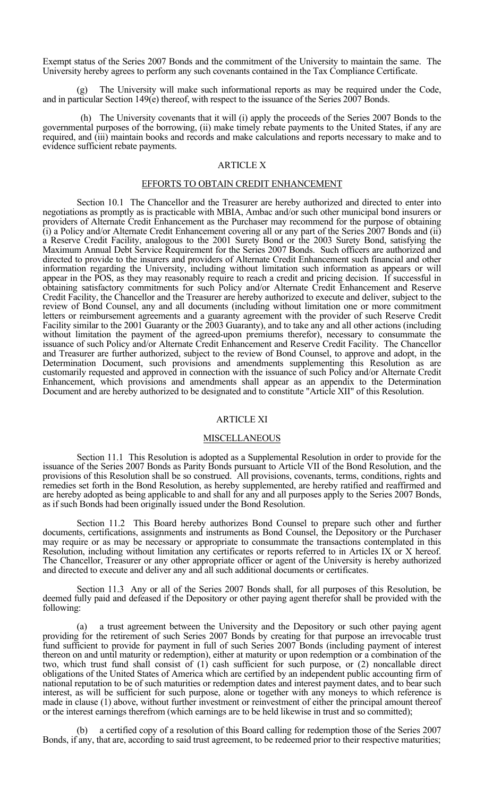Exempt status of the Series 2007 Bonds and the commitment of the University to maintain the same. The University hereby agrees to perform any such covenants contained in the Tax Compliance Certificate.

 (g) The University will make such informational reports as may be required under the Code, and in particular Section 149(e) thereof, with respect to the issuance of the Series 2007 Bonds.

(h) The University covenants that it will (i) apply the proceeds of the Series 2007 Bonds to the governmental purposes of the borrowing, (ii) make timely rebate payments to the United States, if any are required, and (iii) maintain books and records and make calculations and reports necessary to make and to evidence sufficient rebate payments.

#### ARTICLE X

#### EFFORTS TO OBTAIN CREDIT ENHANCEMENT

 Section 10.1 The Chancellor and the Treasurer are hereby authorized and directed to enter into negotiations as promptly as is practicable with MBIA, Ambac and/or such other municipal bond insurers or providers of Alternate Credit Enhancement as the Purchaser may recommend for the purpose of obtaining (i) a Policy and/or Alternate Credit Enhancement covering all or any part of the Series 2007 Bonds and (ii) a Reserve Credit Facility, analogous to the 2001 Surety Bond or the 2003 Surety Bond, satisfying the Maximum Annual Debt Service Requirement for the Series 2007 Bonds. Such officers are authorized and directed to provide to the insurers and providers of Alternate Credit Enhancement such financial and other information regarding the University, including without limitation such information as appears or will appear in the POS, as they may reasonably require to reach a credit and pricing decision. If successful in obtaining satisfactory commitments for such Policy and/or Alternate Credit Enhancement and Reserve Credit Facility, the Chancellor and the Treasurer are hereby authorized to execute and deliver, subject to the review of Bond Counsel, any and all documents (including without limitation one or more commitment letters or reimbursement agreements and a guaranty agreement with the provider of such Reserve Credit Facility similar to the 2001 Guaranty or the 2003 Guaranty), and to take any and all other actions (including without limitation the payment of the agreed-upon premiums therefor), necessary to consummate the issuance of such Policy and/or Alternate Credit Enhancement and Reserve Credit Facility. The Chancellor and Treasurer are further authorized, subject to the review of Bond Counsel, to approve and adopt, in the Determination Document, such provisions and amendments supplementing this Resolution as are customarily requested and approved in connection with the issuance of such Policy and/or Alternate Credit Enhancement, which provisions and amendments shall appear as an appendix to the Determination Document and are hereby authorized to be designated and to constitute "Article XII" of this Resolution.

### ARTICLE XI

#### **MISCELLANEOUS**

 Section 11.1 This Resolution is adopted as a Supplemental Resolution in order to provide for the issuance of the Series 2007 Bonds as Parity Bonds pursuant to Article VII of the Bond Resolution, and the provisions of this Resolution shall be so construed. All provisions, covenants, terms, conditions, rights and remedies set forth in the Bond Resolution, as hereby supplemented, are hereby ratified and reaffirmed and are hereby adopted as being applicable to and shall for any and all purposes apply to the Series 2007 Bonds, as if such Bonds had been originally issued under the Bond Resolution.

 Section 11.2 This Board hereby authorizes Bond Counsel to prepare such other and further documents, certifications, assignments and instruments as Bond Counsel, the Depository or the Purchaser may require or as may be necessary or appropriate to consummate the transactions contemplated in this Resolution, including without limitation any certificates or reports referred to in Articles IX or X hereof. The Chancellor, Treasurer or any other appropriate officer or agent of the University is hereby authorized and directed to execute and deliver any and all such additional documents or certificates.

 Section 11.3 Any or all of the Series 2007 Bonds shall, for all purposes of this Resolution, be deemed fully paid and defeased if the Depository or other paying agent therefor shall be provided with the following:

 (a) a trust agreement between the University and the Depository or such other paying agent providing for the retirement of such Series 2007 Bonds by creating for that purpose an irrevocable trust fund sufficient to provide for payment in full of such Series 2007 Bonds (including payment of interest thereon on and until maturity or redemption), either at maturity or upon redemption or a combination of the two, which trust fund shall consist of (1) cash sufficient for such purpose, or (2) noncallable direct obligations of the United States of America which are certified by an independent public accounting firm of national reputation to be of such maturities or redemption dates and interest payment dates, and to bear such interest, as will be sufficient for such purpose, alone or together with any moneys to which reference is made in clause (1) above, without further investment or reinvestment of either the principal amount thereof or the interest earnings therefrom (which earnings are to be held likewise in trust and so committed);

a certified copy of a resolution of this Board calling for redemption those of the Series 2007 Bonds, if any, that are, according to said trust agreement, to be redeemed prior to their respective maturities;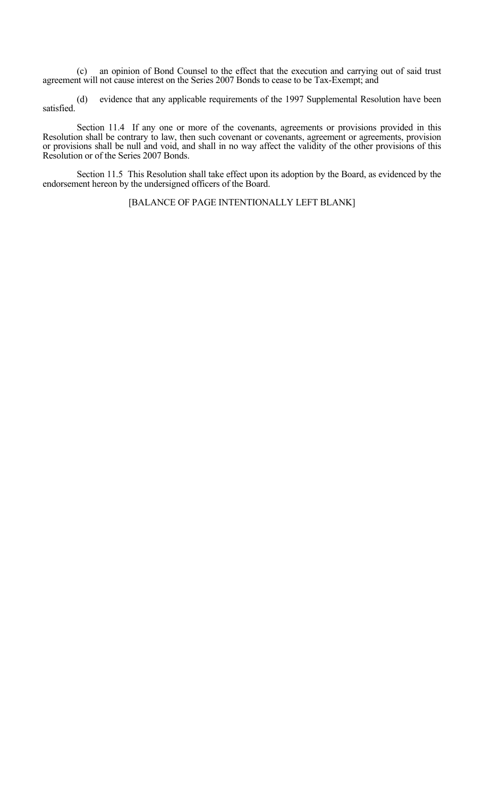(c) an opinion of Bond Counsel to the effect that the execution and carrying out of said trust agreement will not cause interest on the Series 2007 Bonds to cease to be Tax-Exempt; and

evidence that any applicable requirements of the 1997 Supplemental Resolution have been satisfied.

Section 11.4 If any one or more of the covenants, agreements or provisions provided in this Resolution shall be contrary to law, then such covenant or covenants, agreement or agreements, provision or provisions shall be null and void, and shall in no way affect the validity of the other provisions of this Resolution or of the Series 2007 Bonds.

 Section 11.5 This Resolution shall take effect upon its adoption by the Board, as evidenced by the endorsement hereon by the undersigned officers of the Board.

[BALANCE OF PAGE INTENTIONALLY LEFT BLANK]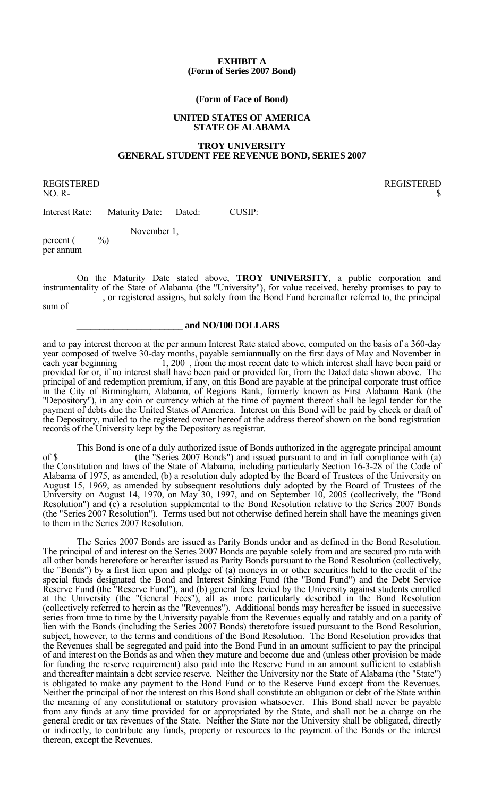#### **EXHIBIT A (Form of Series 2007 Bond)**

#### **(Form of Face of Bond)**

#### **UNITED STATES OF AMERICA STATE OF ALABAMA**

## **TROY UNIVERSITY GENERAL STUDENT FEE REVENUE BOND, SERIES 2007**

REGISTERED REGISTERED

 $NO. R-$ 

Interest Rate: Maturity Date: Dated: CUSIP:

\_\_\_\_\_\_\_\_\_\_\_\_\_\_\_\_\_ November 1, \_\_\_\_ \_\_\_\_\_\_\_\_\_\_\_\_\_\_\_ \_\_\_\_\_\_ percent (\_\_\_\_\_%)

per annum

 On the Maturity Date stated above, **TROY UNIVERSITY**, a public corporation and instrumentality of the State of Alabama (the "University"), for value received, hereby promises to pay to \_\_\_\_\_\_\_\_\_\_\_\_\_, or registered assigns, but solely from the Bond Fund hereinafter referred to, the principal

sum of

#### **\_\_\_\_\_\_\_\_\_\_\_\_\_\_\_\_\_\_\_\_\_\_\_ and NO/100 DOLLARS**

and to pay interest thereon at the per annum Interest Rate stated above, computed on the basis of a 360-day year composed of twelve 30-day months, payable semiannually on the first days of May and November in each year beginning 1, 200, from the most recent date to which interest shall have been paid or provided for or, if no interest shall have been paid or provided for, from the Dated date shown above. The principal of and redemption premium, if any, on this Bond are payable at the principal corporate trust office in the City of Birmingham, Alabama, of Regions Bank, formerly known as First Alabama Bank (the "Depository"), in any coin or currency which at the time of payment thereof shall be legal tender for the payment of debts due the United States of America. Interest on this Bond will be paid by check or draft of the Depository, mailed to the registered owner hereof at the address thereof shown on the bond registration records of the University kept by the Depository as registrar.

 This Bond is one of a duly authorized issue of Bonds authorized in the aggregate principal amount of \$\_\_\_\_\_\_\_\_\_\_\_\_\_\_\_\_ (the "Series 2007 Bonds") and issued pursuant to and in full compliance with (a) the Constitution and laws of the State of Alabama, including particularly Section 16-3-28 of the Code of Alabama of 1975, as amended, (b) a resolution duly adopted by the Board of Trustees of the University on August 15, 1969, as amended by subsequent resolutions duly adopted by the Board of Trustees of the University on August 14, 1970, on May 30, 1997, and on September 10, 2005 (collectively, the "Bond Resolution") and (c) a resolution supplemental to the Bond Resolution relative to the Series 2007 Bonds (the "Series 2007 Resolution"). Terms used but not otherwise defined herein shall have the meanings given to them in the Series 2007 Resolution.

 The Series 2007 Bonds are issued as Parity Bonds under and as defined in the Bond Resolution. The principal of and interest on the Series 2007 Bonds are payable solely from and are secured pro rata with all other bonds heretofore or hereafter issued as Parity Bonds pursuant to the Bond Resolution (collectively, the "Bonds") by a first lien upon and pledge of (a) moneys in or other securities held to the credit of the special funds designated the Bond and Interest Sinking Fund (the "Bond Fund") and the Debt Service Reserve Fund (the "Reserve Fund"), and (b) general fees levied by the University against students enrolled at the University (the "General Fees"), all as more particularly described in the Bond Resolution (collectively referred to herein as the "Revenues"). Additional bonds may hereafter be issued in successive series from time to time by the University payable from the Revenues equally and ratably and on a parity of lien with the Bonds (including the Series 2007 Bonds) theretofore issued pursuant to the Bond Resolution, subject, however, to the terms and conditions of the Bond Resolution. The Bond Resolution provides that the Revenues shall be segregated and paid into the Bond Fund in an amount sufficient to pay the principal of and interest on the Bonds as and when they mature and become due and (unless other provision be made for funding the reserve requirement) also paid into the Reserve Fund in an amount sufficient to establish and thereafter maintain a debt service reserve. Neither the University nor the State of Alabama (the "State") is obligated to make any payment to the Bond Fund or to the Reserve Fund except from the Revenues. Neither the principal of nor the interest on this Bond shall constitute an obligation or debt of the State within the meaning of any constitutional or statutory provision whatsoever. This Bond shall never be payable from any funds at any time provided for or appropriated by the State, and shall not be a charge on the general credit or tax revenues of the State. Neither the State nor the University shall be obligated, directly or indirectly, to contribute any funds, property or resources to the payment of the Bonds or the interest thereon, except the Revenues.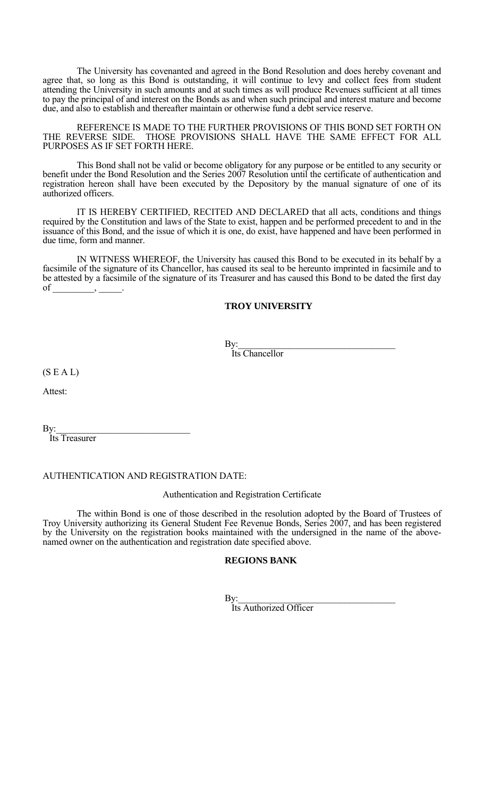The University has covenanted and agreed in the Bond Resolution and does hereby covenant and agree that, so long as this Bond is outstanding, it will continue to levy and collect fees from student attending the University in such amounts and at such times as will produce Revenues sufficient at all times to pay the principal of and interest on the Bonds as and when such principal and interest mature and become due, and also to establish and thereafter maintain or otherwise fund a debt service reserve.

 REFERENCE IS MADE TO THE FURTHER PROVISIONS OF THIS BOND SET FORTH ON THE REVERSE SIDE. THOSE PROVISIONS SHALL HAVE THE SAME EFFECT FOR ALL PURPOSES AS IF SET FORTH HERE.

 This Bond shall not be valid or become obligatory for any purpose or be entitled to any security or benefit under the Bond Resolution and the Series 2007 Resolution until the certificate of authentication and registration hereon shall have been executed by the Depository by the manual signature of one of its authorized officers.

 IT IS HEREBY CERTIFIED, RECITED AND DECLARED that all acts, conditions and things required by the Constitution and laws of the State to exist, happen and be performed precedent to and in the issuance of this Bond, and the issue of which it is one, do exist, have happened and have been performed in due time, form and manner.

 IN WITNESS WHEREOF, the University has caused this Bond to be executed in its behalf by a facsimile of the signature of its Chancellor, has caused its seal to be hereunto imprinted in facsimile and to be attested by a facsimile of the signature of its Treasurer and has caused this Bond to be dated the first day  $of$ 

### **TROY UNIVERSITY**

By: Its Chancellor

 $(S E A L)$ 

Attest:

By:<br>Its Treasurer

#### AUTHENTICATION AND REGISTRATION DATE:

#### Authentication and Registration Certificate

 The within Bond is one of those described in the resolution adopted by the Board of Trustees of Troy University authorizing its General Student Fee Revenue Bonds, Series 2007, and has been registered by the University on the registration books maintained with the undersigned in the name of the abovenamed owner on the authentication and registration date specified above.

#### **REGIONS BANK**

By:<br>Its Authorized Officer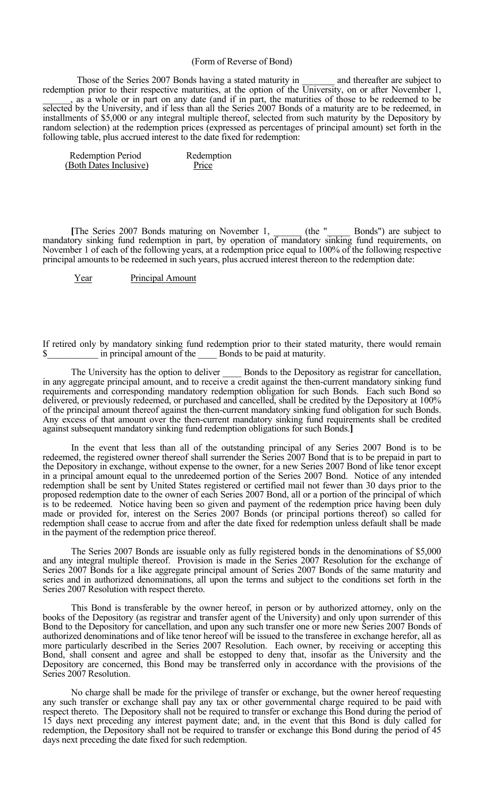#### (Form of Reverse of Bond)

Those of the Series 2007 Bonds having a stated maturity in \_\_\_\_\_\_\_\_ and thereafter are subject to redemption prior to their respective maturities, at the option of the University, on or after November 1, as a whole or in part on any date (and if in part, the maturities of those to be redeemed to be selected by the University, and if less than all the Series 2007 Bonds of a maturity are to be redeemed, in installments of \$5,000 or any integral multiple thereof, selected from such maturity by the Depository by random selection) at the redemption prices (expressed as percentages of principal amount) set forth in the following table, plus accrued interest to the date fixed for redemption:

| <b>Redemption Period</b> | Redemption |
|--------------------------|------------|
| (Both Dates Inclusive)   | Price      |

[The Series 2007 Bonds maturing on November 1, (the "Bonds") are subject to mandatory sinking fund redemption in part, by operation of mandatory sinking fund requirements, on November 1 of each of the following years, at a redemption price equal to 100% of the following respective principal amounts to be redeemed in such years, plus accrued interest thereon to the redemption date:

Year Principal Amount

If retired only by mandatory sinking fund redemption prior to their stated maturity, there would remain  $\$\$  in principal amount of the Bonds to be paid at maturity.

The University has the option to deliver **Bonds** to the Depository as registrar for cancellation, in any aggregate principal amount, and to receive a credit against the then-current mandatory sinking fund requirements and corresponding mandatory redemption obligation for such Bonds. Each such Bond so delivered, or previously redeemed, or purchased and cancelled, shall be credited by the Depository at 100% of the principal amount thereof against the then-current mandatory sinking fund obligation for such Bonds. Any excess of that amount over the then-current mandatory sinking fund requirements shall be credited against subsequent mandatory sinking fund redemption obligations for such Bonds.**]**

 In the event that less than all of the outstanding principal of any Series 2007 Bond is to be redeemed, the registered owner thereof shall surrender the Series 2007 Bond that is to be prepaid in part to the Depository in exchange, without expense to the owner, for a new Series 2007 Bond of like tenor except in a principal amount equal to the unredeemed portion of the Series 2007 Bond. Notice of any intended redemption shall be sent by United States registered or certified mail not fewer than 30 days prior to the proposed redemption date to the owner of each Series 2007 Bond, all or a portion of the principal of which is to be redeemed. Notice having been so given and payment of the redemption price having been duly made or provided for, interest on the Series 2007 Bonds (or principal portions thereof) so called for redemption shall cease to accrue from and after the date fixed for redemption unless default shall be made in the payment of the redemption price thereof.

 The Series 2007 Bonds are issuable only as fully registered bonds in the denominations of \$5,000 and any integral multiple thereof. Provision is made in the Series 2007 Resolution for the exchange of Series 2007 Bonds for a like aggregate principal amount of Series 2007 Bonds of the same maturity and series and in authorized denominations, all upon the terms and subject to the conditions set forth in the Series 2007 Resolution with respect thereto.

 This Bond is transferable by the owner hereof, in person or by authorized attorney, only on the books of the Depository (as registrar and transfer agent of the University) and only upon surrender of this Bond to the Depository for cancellation, and upon any such transfer one or more new Series 2007 Bonds of authorized denominations and of like tenor hereof will be issued to the transferee in exchange herefor, all as more particularly described in the Series 2007 Resolution. Each owner, by receiving or accepting this Bond, shall consent and agree and shall be estopped to deny that, insofar as the University and the Depository are concerned, this Bond may be transferred only in accordance with the provisions of the Series 2007 Resolution.

 No charge shall be made for the privilege of transfer or exchange, but the owner hereof requesting any such transfer or exchange shall pay any tax or other governmental charge required to be paid with respect thereto. The Depository shall not be required to transfer or exchange this Bond during the period of 15 days next preceding any interest payment date; and, in the event that this Bond is duly called for redemption, the Depository shall not be required to transfer or exchange this Bond during the period of 45 days next preceding the date fixed for such redemption.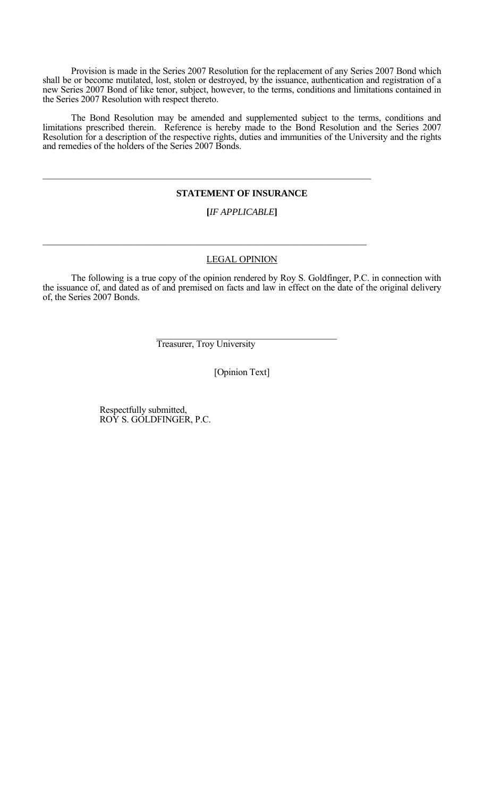Provision is made in the Series 2007 Resolution for the replacement of any Series 2007 Bond which shall be or become mutilated, lost, stolen or destroyed, by the issuance, authentication and registration of a new Series 2007 Bond of like tenor, subject, however, to the terms, conditions and limitations contained in the Series 2007 Resolution with respect thereto.

 The Bond Resolution may be amended and supplemented subject to the terms, conditions and limitations prescribed therein. Reference is hereby made to the Bond Resolution and the Series 2007 Resolution for a description of the respective rights, duties and immunities of the University and the rights and remedies of the holders of the Series 2007 Bonds.

#### **STATEMENT OF INSURANCE**

### **[***IF APPLICABLE***]**

#### LEGAL OPINION

 The following is a true copy of the opinion rendered by Roy S. Goldfinger, P.C. in connection with the issuance of, and dated as of and premised on facts and law in effect on the date of the original delivery of, the Series 2007 Bonds.

Treasurer, Troy University

 $\mathcal{L}_\mathcal{L}$  , and the contribution of the contribution of the contribution of the contribution of the contribution of the contribution of the contribution of the contribution of the contribution of the contribution of

 $\mathcal{L}_\mathcal{L} = \{ \mathcal{L}_\mathcal{L} = \{ \mathcal{L}_\mathcal{L} = \{ \mathcal{L}_\mathcal{L} = \{ \mathcal{L}_\mathcal{L} = \{ \mathcal{L}_\mathcal{L} = \{ \mathcal{L}_\mathcal{L} = \{ \mathcal{L}_\mathcal{L} = \{ \mathcal{L}_\mathcal{L} = \{ \mathcal{L}_\mathcal{L} = \{ \mathcal{L}_\mathcal{L} = \{ \mathcal{L}_\mathcal{L} = \{ \mathcal{L}_\mathcal{L} = \{ \mathcal{L}_\mathcal{L} = \{ \mathcal{L}_\mathcal{$ 

[Opinion Text]

 Respectfully submitted, ROY S. GOLDFINGER, P.C.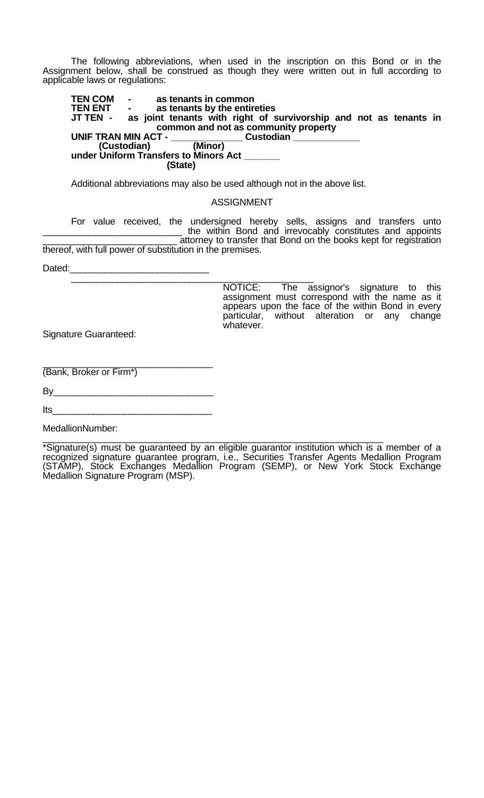The following abbreviations, when used in the inscription on this Bond or in the Assignment below, shall be construed as though they were written out in full according to applicable laws or regulations:

**TEN COM - as tenants in common TEN ENT - as tenants by the entireties**  as joint tenants with right of survivorship and not as tenants in **common and not as community property UNIF TRAN MIN ACT - \_\_\_\_\_\_\_\_\_\_\_\_\_\_\_\_\_ Custodian \_\_\_\_\_\_\_\_\_\_\_\_\_\_\_\_\_\_\_\_\_\_\_\_\_\_\_\_\_\_\_\_**<br>(Custodian) (Minor) **under Uniform Transfers to Minors Act \_\_\_\_\_\_\_ (State)**

Additional abbreviations may also be used although not in the above list.

### ASSIGNMENT

For value received, the undersigned hereby sells, assigns and transfers unto<br>
the within Bond and irrevocably constitutes and appoints<br>
attorney to transfer that Bond on the books kept for registration thereof, with full power of substitution in the premises.

Dated:\_\_\_\_\_\_\_\_\_\_\_\_\_\_\_\_\_\_\_\_\_\_\_\_\_\_\_ \_\_\_\_\_\_\_\_\_\_\_\_\_\_\_\_\_\_\_\_\_\_\_\_\_\_\_\_\_\_\_\_\_\_\_\_\_\_\_\_\_\_\_\_\_\_\_ NOTICE: The assignor's signature to this assignment must correspond with the name as it appears upon the face of the within Bond in every particular, without alteration or any change whatever.

Signature Guaranteed:

\_\_\_\_\_\_\_\_\_\_\_\_\_\_\_\_\_\_\_\_\_\_\_\_\_\_\_\_\_\_\_\_\_ (Bank, Broker or Firm\*)

| Its |  |  |  |
|-----|--|--|--|
|     |  |  |  |

MedallionNumber:

\*Signature(s) must be guaranteed by an eligible guarantor institution which is a member of a recognized signature guarantee program, i.e., Securities Transfer Agents Medallion Program (STAMP), Stock Exchanges Medallion Program (SEMP), or New York Stock Exchange Medallion Signature Program (MSP).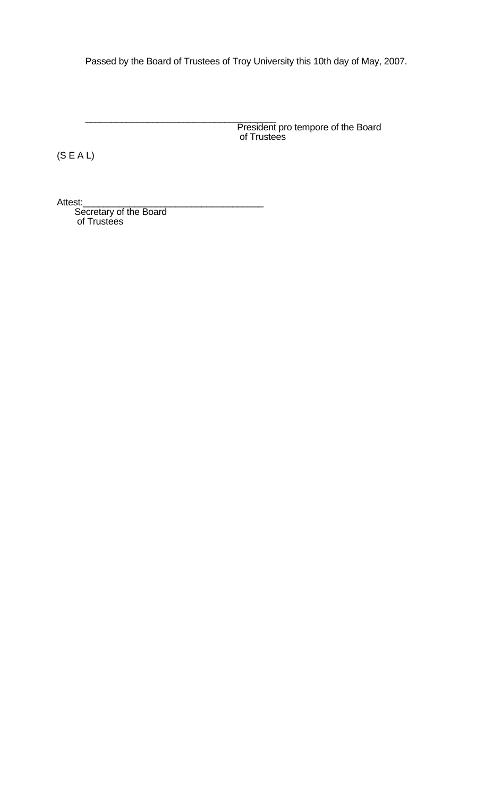Passed by the Board of Trustees of Troy University this 10th day of May, 2007.

President pro tempore of the Board<br>of Trustees

(S E A L)

Attest:\_\_\_\_\_\_\_\_\_\_\_\_\_\_\_\_\_\_\_\_\_\_\_\_\_\_\_\_\_\_\_\_\_\_\_ Secretary of the Board of Trustees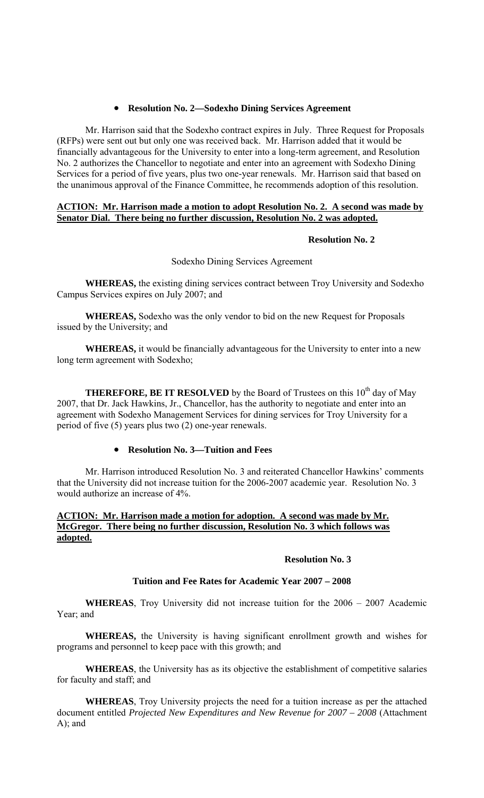## • **Resolution No. 2—Sodexho Dining Services Agreement**

Mr. Harrison said that the Sodexho contract expires in July. Three Request for Proposals (RFPs) were sent out but only one was received back. Mr. Harrison added that it would be financially advantageous for the University to enter into a long-term agreement, and Resolution No. 2 authorizes the Chancellor to negotiate and enter into an agreement with Sodexho Dining Services for a period of five years, plus two one-year renewals. Mr. Harrison said that based on the unanimous approval of the Finance Committee, he recommends adoption of this resolution.

## **ACTION: Mr. Harrison made a motion to adopt Resolution No. 2. A second was made by Senator Dial. There being no further discussion, Resolution No. 2 was adopted.**

## **Resolution No. 2**

## Sodexho Dining Services Agreement

**WHEREAS,** the existing dining services contract between Troy University and Sodexho Campus Services expires on July 2007; and

 **WHEREAS,** Sodexho was the only vendor to bid on the new Request for Proposals issued by the University; and

**WHEREAS,** it would be financially advantageous for the University to enter into a new long term agreement with Sodexho;

**THEREFORE, BE IT RESOLVED** by the Board of Trustees on this 10<sup>th</sup> day of May 2007, that Dr. Jack Hawkins, Jr., Chancellor, has the authority to negotiate and enter into an agreement with Sodexho Management Services for dining services for Troy University for a period of five (5) years plus two (2) one-year renewals.

## • **Resolution No. 3—Tuition and Fees**

Mr. Harrison introduced Resolution No. 3 and reiterated Chancellor Hawkins' comments that the University did not increase tuition for the 2006-2007 academic year. Resolution No. 3 would authorize an increase of 4%.

## **ACTION: Mr. Harrison made a motion for adoption. A second was made by Mr. McGregor. There being no further discussion, Resolution No. 3 which follows was adopted.**

## **Resolution No. 3**

## **Tuition and Fee Rates for Academic Year 2007 – 2008**

**WHEREAS**, Troy University did not increase tuition for the 2006 – 2007 Academic Year; and

**WHEREAS,** the University is having significant enrollment growth and wishes for programs and personnel to keep pace with this growth; and

**WHEREAS**, the University has as its objective the establishment of competitive salaries for faculty and staff; and

**WHEREAS**, Troy University projects the need for a tuition increase as per the attached document entitled *Projected New Expenditures and New Revenue for 2007 – 2008* (Attachment A); and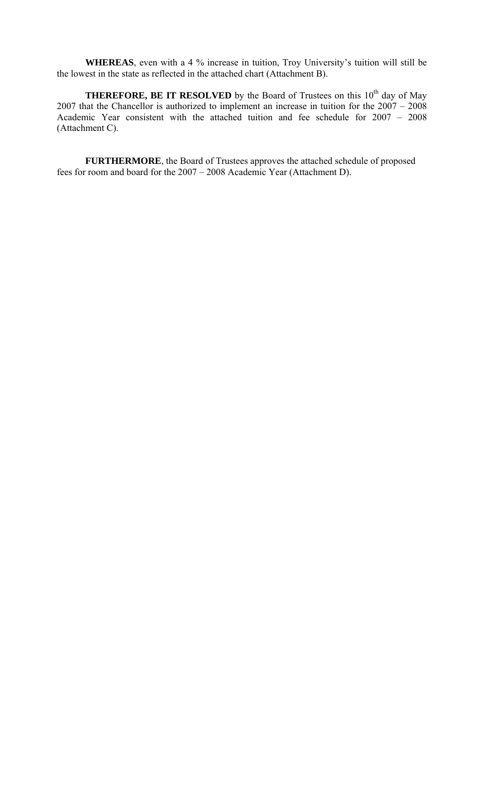**WHEREAS**, even with a 4 % increase in tuition, Troy University's tuition will still be the lowest in the state as reflected in the attached chart (Attachment B).

**THEREFORE, BE IT RESOLVED** by the Board of Trustees on this  $10<sup>th</sup>$  day of May 2007 that the Chancellor is authorized to implement an increase in tuition for the 2007 – 2008 Academic Year consistent with the attached tuition and fee schedule for 2007 – 2008 (Attachment C).

**FURTHERMORE**, the Board of Trustees approves the attached schedule of proposed fees for room and board for the 2007 – 2008 Academic Year (Attachment D).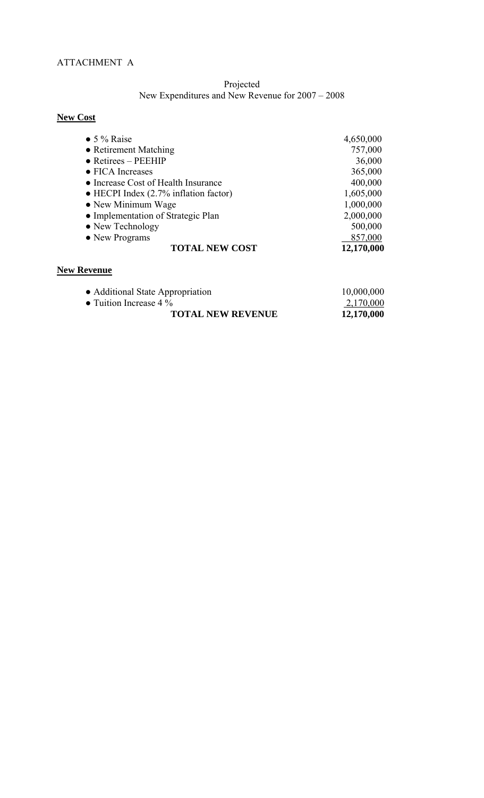## Projected New Expenditures and New Revenue for 2007 – 2008

# **New Cost**

| $\bullet$ 5 % Raise                           | 4,650,000  |
|-----------------------------------------------|------------|
| • Retirement Matching                         | 757,000    |
| $\bullet$ Retirees – PEEHIP                   | 36,000     |
| • FICA Increases                              | 365,000    |
| • Increase Cost of Health Insurance           | 400,000    |
| $\bullet$ HECPI Index (2.7% inflation factor) | 1,605,000  |
| • New Minimum Wage                            | 1,000,000  |
| • Implementation of Strategic Plan            | 2,000,000  |
| • New Technology                              | 500,000    |
| • New Programs                                | 857,000    |
| <b>TOTAL NEW COST</b>                         | 12,170,000 |

## **New Revenue**

| • Additional State Appropriation | 10,000,000 |
|----------------------------------|------------|
| • Tuition Increase $4\%$         | 2,170,000  |
| <b>TOTAL NEW REVENUE</b>         | 12,170,000 |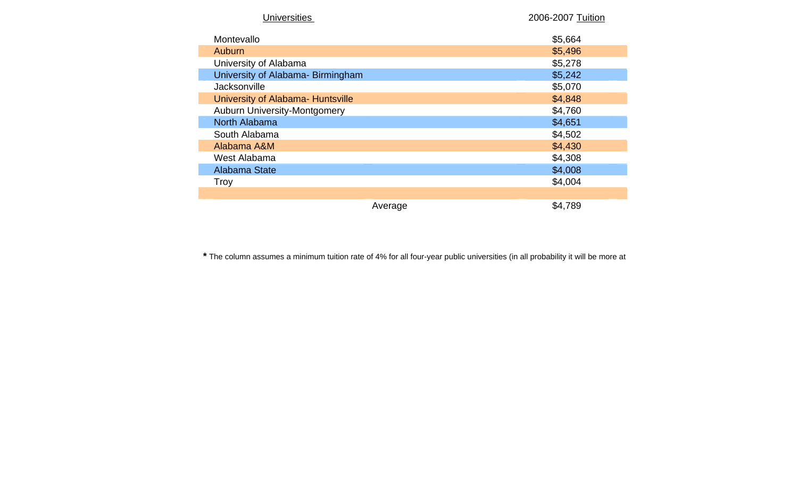| <b>Universities</b>                 |         | 2006-2007 Tuition |
|-------------------------------------|---------|-------------------|
| Montevallo                          |         | \$5,664           |
| Auburn                              |         | \$5,496           |
| University of Alabama               |         | \$5,278           |
| University of Alabama- Birmingham   |         | \$5,242           |
| Jacksonville                        |         | \$5,070           |
| University of Alabama- Huntsville   |         | \$4,848           |
| <b>Auburn University-Montgomery</b> |         | \$4,760           |
| North Alabama                       |         | \$4,651           |
| South Alabama                       |         | \$4,502           |
| Alabama A&M                         |         | \$4,430           |
| West Alabama                        |         | \$4,308           |
| Alabama State                       |         | \$4,008           |
| <b>Troy</b>                         |         | \$4,004           |
|                                     |         |                   |
|                                     | Average | \$4,789           |

**\*** The column assumes a minimum tuition rate of 4% for all four-year public universities (in all probability it will be more at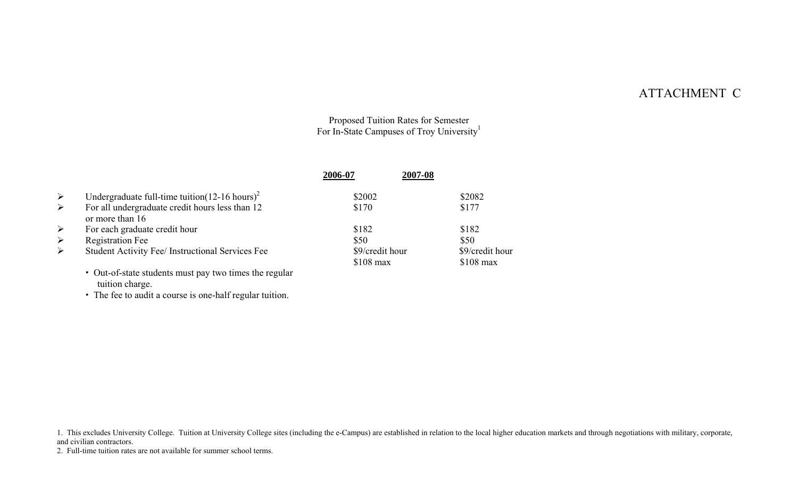# ATTACHMENT C

Proposed Tuition Rates for Semester For In-State Campuses of Troy University<sup>1</sup>

|                       |                                                                    | 2006-07         | 2007-08 |                 |
|-----------------------|--------------------------------------------------------------------|-----------------|---------|-----------------|
| $\blacktriangleright$ | Undergraduate full-time tuition( $12-16$ hours) <sup>2</sup>       | \$2002          |         | \$2082          |
| $\blacktriangleright$ | For all undergraduate credit hours less than 12<br>or more than 16 | \$170           |         | \$177           |
| $\blacktriangleright$ | For each graduate credit hour                                      | \$182           |         | \$182           |
| $\blacktriangleright$ | <b>Registration Fee</b>                                            | \$50            |         | \$50            |
| $\blacktriangleright$ | Student Activity Fee/ Instructional Services Fee                   | \$9/credit hour |         | \$9/credit hour |
|                       |                                                                    | $$108$ max      |         | $$108$ max      |
|                       | • Out-of-state students must pay two times the regular             |                 |         |                 |

tuition charge.

The fee to audit a course is one-half regular tuition.

1. This excludes University College. Tuition at University College sites (including the e-Campus) are established in relation to the local higher education markets and through negotiations with military, corporate, and civilian contractors.

2. Full-time tuition rates are not available for summer school terms.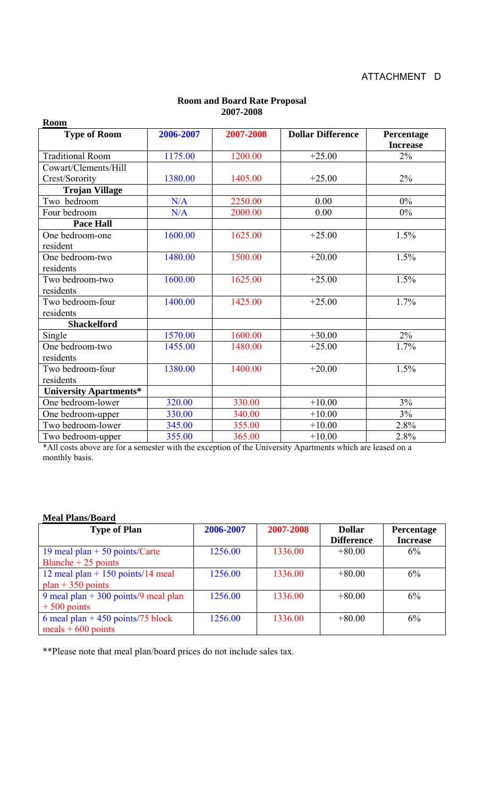| <b>Room</b>             |           |           |                          |                               |
|-------------------------|-----------|-----------|--------------------------|-------------------------------|
| <b>Type of Room</b>     | 2006-2007 | 2007-2008 | <b>Dollar Difference</b> | Percentage<br><b>Increase</b> |
| <b>Traditional Room</b> | 1175.00   | 1200.00   | $+25.00$                 | $2\%$                         |
| Cowart/Clements/Hill    |           |           |                          |                               |
| Crest/Sorority          | 1380.00   | 1405.00   | $+25.00$                 | 2%                            |
| <b>Trojan Village</b>   |           |           |                          |                               |
| Two bedroom             | N/A       | 2250.00   | 0.00                     | $0\%$                         |
| Four bedroom            | N/A       | 2000.00   | 0.00                     | 0%                            |
| <b>Pace Hall</b>        |           |           |                          |                               |
| One bedroom-one         | 1600.00   | 1625.00   | $+25.00$                 | 1.5%                          |
| resident                |           |           |                          |                               |
| One bedroom-two         | 1480.00   | 1500.00   | $+20.00$                 | 1.5%                          |
| residents               |           |           |                          |                               |
| Two bedroom-two         | 1600.00   | 1625.00   | $+25.00$                 | 1.5%                          |
| residents               |           |           |                          |                               |
| Two bedroom-four        | 1400.00   | 1425.00   | $+25.00$                 | 1.7%                          |
| residents               |           |           |                          |                               |
| <b>Shackelford</b>      |           |           |                          |                               |
| Single                  | 1570.00   | 1600.00   | $+30.00$                 | $2\%$                         |
| One bedroom-two         | 1455.00   | 1480.00   | $+25.00$                 | 1.7%                          |
| residents               |           |           |                          |                               |
| Two bedroom-four        | 1380.00   | 1400.00   | $+20.00$                 | 1.5%                          |
| residents               |           |           |                          |                               |
| University Apartments*  |           |           |                          |                               |
| One bedroom-lower       | 320.00    | 330.00    | $+10.00$                 | $3\%$                         |
| One bedroom-upper       | 330.00    | 340.00    | $+10.00$                 | 3%                            |
| Two bedroom-lower       | 345.00    | 355.00    | $+10.00$                 | 2.8%                          |
| Two bedroom-upper       | 355.00    | 365.00    | $+10.00$                 | 2.8%                          |

## **Room and Board Rate Proposal 2007-2008**

\*All costs above are for a semester with the exception of the University Apartments which are leased on a monthly basis.

## **Meal Plans/Board**

| <b>Type of Plan</b>                  | 2006-2007 | 2007-2008 | <b>Dollar</b>     | Percentage      |
|--------------------------------------|-----------|-----------|-------------------|-----------------|
|                                      |           |           | <b>Difference</b> | <b>Increase</b> |
| 19 meal plan $+50$ points/Carte      | 1256.00   | 1336.00   | $+80.00$          | 6%              |
| Blanche + $25$ points                |           |           |                   |                 |
| 12 meal plan + 150 points/14 meal    | 1256.00   | 1336.00   | $+80.00$          | 6%              |
| $plan + 350 points$                  |           |           |                   |                 |
| 9 meal plan + 300 points/9 meal plan | 1256.00   | 1336.00   | $+80.00$          | 6%              |
| $+500$ points                        |           |           |                   |                 |
| 6 meal plan + 450 points/75 block    | 1256.00   | 1336.00   | $+80.00$          | 6%              |
| meals $+600$ points                  |           |           |                   |                 |

\*\*Please note that meal plan/board prices do not include sales tax.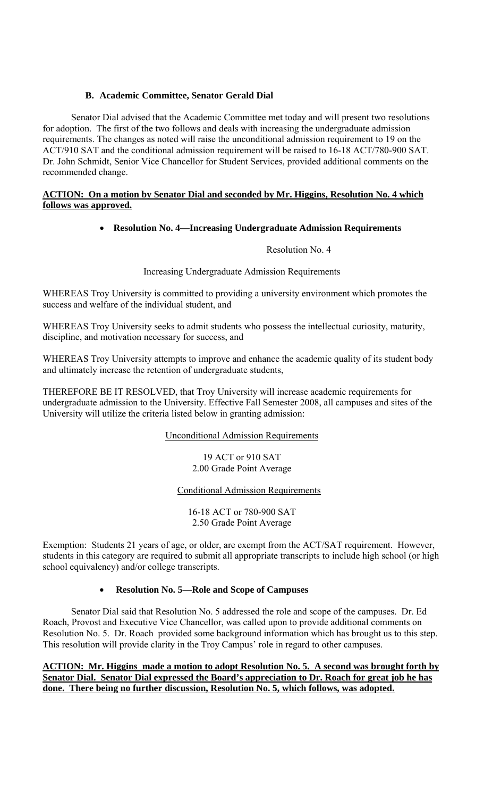## **B. Academic Committee, Senator Gerald Dial**

Senator Dial advised that the Academic Committee met today and will present two resolutions for adoption. The first of the two follows and deals with increasing the undergraduate admission requirements. The changes as noted will raise the unconditional admission requirement to 19 on the ACT/910 SAT and the conditional admission requirement will be raised to 16-18 ACT/780-900 SAT. Dr. John Schmidt, Senior Vice Chancellor for Student Services, provided additional comments on the recommended change.

## **ACTION: On a motion by Senator Dial and seconded by Mr. Higgins, Resolution No. 4 which follows was approved.**

## • **Resolution No. 4—Increasing Undergraduate Admission Requirements**

Resolution No. 4

Increasing Undergraduate Admission Requirements

WHEREAS Troy University is committed to providing a university environment which promotes the success and welfare of the individual student, and

WHEREAS Troy University seeks to admit students who possess the intellectual curiosity, maturity, discipline, and motivation necessary for success, and

WHEREAS Troy University attempts to improve and enhance the academic quality of its student body and ultimately increase the retention of undergraduate students,

THEREFORE BE IT RESOLVED, that Troy University will increase academic requirements for undergraduate admission to the University. Effective Fall Semester 2008, all campuses and sites of the University will utilize the criteria listed below in granting admission:

## Unconditional Admission Requirements

19 ACT or 910 SAT 2.00 Grade Point Average

## Conditional Admission Requirements

16-18 ACT or 780-900 SAT 2.50 Grade Point Average

Exemption: Students 21 years of age, or older, are exempt from the ACT/SAT requirement. However, students in this category are required to submit all appropriate transcripts to include high school (or high school equivalency) and/or college transcripts.

## • **Resolution No. 5—Role and Scope of Campuses**

 Senator Dial said that Resolution No. 5 addressed the role and scope of the campuses. Dr. Ed Roach, Provost and Executive Vice Chancellor, was called upon to provide additional comments on Resolution No. 5. Dr. Roach provided some background information which has brought us to this step. This resolution will provide clarity in the Troy Campus' role in regard to other campuses.

**ACTION: Mr. Higgins made a motion to adopt Resolution No. 5. A second was brought forth by Senator Dial. Senator Dial expressed the Board's appreciation to Dr. Roach for great job he has done. There being no further discussion, Resolution No. 5, which follows, was adopted.**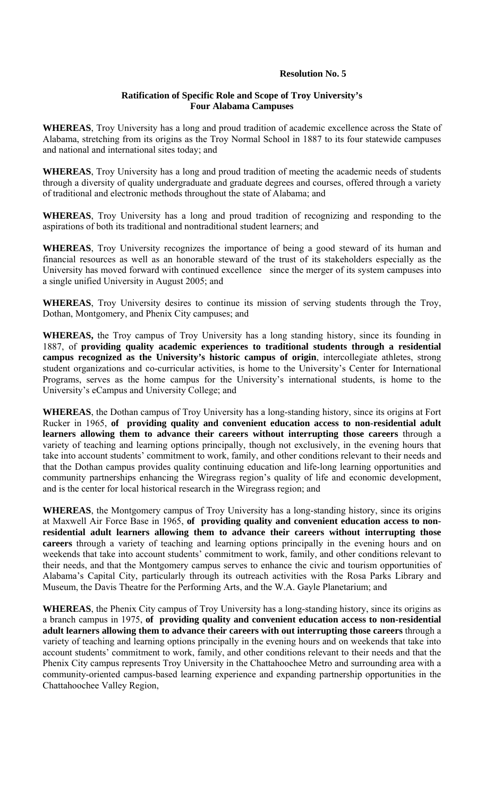## **Resolution No. 5**

### **Ratification of Specific Role and Scope of Troy University's Four Alabama Campuses**

**WHEREAS**, Troy University has a long and proud tradition of academic excellence across the State of Alabama, stretching from its origins as the Troy Normal School in 1887 to its four statewide campuses and national and international sites today; and

**WHEREAS**, Troy University has a long and proud tradition of meeting the academic needs of students through a diversity of quality undergraduate and graduate degrees and courses, offered through a variety of traditional and electronic methods throughout the state of Alabama; and

**WHEREAS**, Troy University has a long and proud tradition of recognizing and responding to the aspirations of both its traditional and nontraditional student learners; and

**WHEREAS**, Troy University recognizes the importance of being a good steward of its human and financial resources as well as an honorable steward of the trust of its stakeholders especially as the University has moved forward with continued excellence since the merger of its system campuses into a single unified University in August 2005; and

**WHEREAS**, Troy University desires to continue its mission of serving students through the Troy, Dothan, Montgomery, and Phenix City campuses; and

**WHEREAS,** the Troy campus of Troy University has a long standing history, since its founding in 1887, of **providing quality academic experiences to traditional students through a residential campus recognized as the University's historic campus of origin**, intercollegiate athletes, strong student organizations and co-curricular activities, is home to the University's Center for International Programs, serves as the home campus for the University's international students, is home to the University's eCampus and University College; and

**WHEREAS**, the Dothan campus of Troy University has a long-standing history, since its origins at Fort Rucker in 1965, **of providing quality and convenient education access to non-residential adult learners allowing them to advance their careers without interrupting those careers** through a variety of teaching and learning options principally, though not exclusively, in the evening hours that take into account students' commitment to work, family, and other conditions relevant to their needs and that the Dothan campus provides quality continuing education and life-long learning opportunities and community partnerships enhancing the Wiregrass region's quality of life and economic development, and is the center for local historical research in the Wiregrass region; and

**WHEREAS**, the Montgomery campus of Troy University has a long-standing history, since its origins at Maxwell Air Force Base in 1965, **of providing quality and convenient education access to nonresidential adult learners allowing them to advance their careers without interrupting those careers** through a variety of teaching and learning options principally in the evening hours and on weekends that take into account students' commitment to work, family, and other conditions relevant to their needs, and that the Montgomery campus serves to enhance the civic and tourism opportunities of Alabama's Capital City, particularly through its outreach activities with the Rosa Parks Library and Museum, the Davis Theatre for the Performing Arts, and the W.A. Gayle Planetarium; and

**WHEREAS**, the Phenix City campus of Troy University has a long-standing history, since its origins as a branch campus in 1975, **of providing quality and convenient education access to non-residential adult learners allowing them to advance their careers with out interrupting those careers** through a variety of teaching and learning options principally in the evening hours and on weekends that take into account students' commitment to work, family, and other conditions relevant to their needs and that the Phenix City campus represents Troy University in the Chattahoochee Metro and surrounding area with a community-oriented campus-based learning experience and expanding partnership opportunities in the Chattahoochee Valley Region,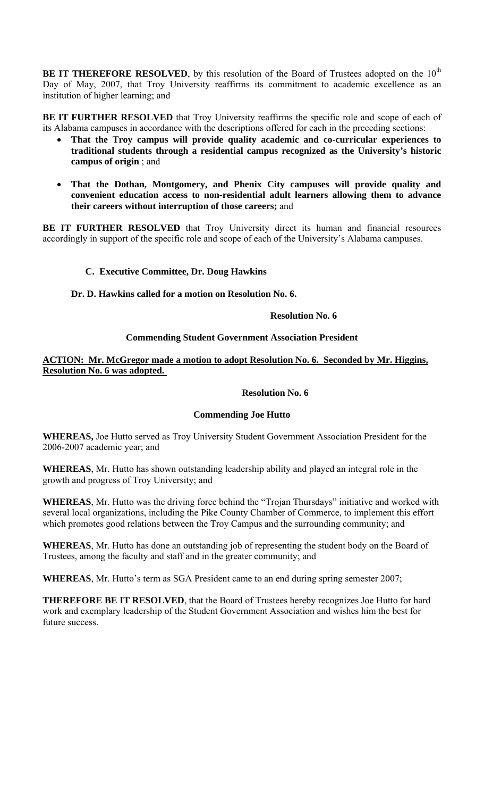**BE IT THEREFORE RESOLVED**, by this resolution of the Board of Trustees adopted on the 10<sup>th</sup> Day of May, 2007, that Troy University reaffirms its commitment to academic excellence as an institution of higher learning; and

**BE IT FURTHER RESOLVED** that Troy University reaffirms the specific role and scope of each of its Alabama campuses in accordance with the descriptions offered for each in the preceding sections:

- **That the Troy campus will provide quality academic and co-curricular experiences to traditional students through a residential campus recognized as the University's historic campus of origin** ; and
- **That the Dothan, Montgomery, and Phenix City campuses will provide quality and convenient education access to non-residential adult learners allowing them to advance their careers without interruption of those careers;** and

BE IT FURTHER RESOLVED that Troy University direct its human and financial resources accordingly in support of the specific role and scope of each of the University's Alabama campuses.

## **C. Executive Committee, Dr. Doug Hawkins**

**Dr. D. Hawkins called for a motion on Resolution No. 6.** 

## **Resolution No. 6**

## **Commending Student Government Association President**

## **ACTION: Mr. McGregor made a motion to adopt Resolution No. 6. Seconded by Mr. Higgins, Resolution No. 6 was adopted.**

### **Resolution No. 6**

## **Commending Joe Hutto**

**WHEREAS,** Joe Hutto served as Troy University Student Government Association President for the 2006-2007 academic year; and

**WHEREAS**, Mr. Hutto has shown outstanding leadership ability and played an integral role in the growth and progress of Troy University; and

**WHEREAS**, Mr. Hutto was the driving force behind the "Trojan Thursdays" initiative and worked with several local organizations, including the Pike County Chamber of Commerce, to implement this effort which promotes good relations between the Troy Campus and the surrounding community; and

**WHEREAS**, Mr. Hutto has done an outstanding job of representing the student body on the Board of Trustees, among the faculty and staff and in the greater community; and

**WHEREAS**, Mr. Hutto's term as SGA President came to an end during spring semester 2007;

**THEREFORE BE IT RESOLVED**, that the Board of Trustees hereby recognizes Joe Hutto for hard work and exemplary leadership of the Student Government Association and wishes him the best for future success.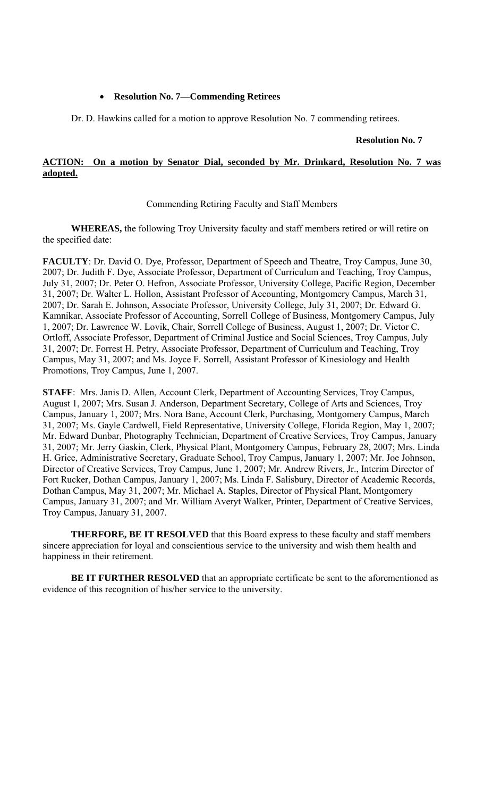## • **Resolution No. 7—Commending Retirees**

Dr. D. Hawkins called for a motion to approve Resolution No. 7 commending retirees.

## **Resolution No. 7**

## **ACTION: On a motion by Senator Dial, seconded by Mr. Drinkard, Resolution No. 7 was adopted.**

## Commending Retiring Faculty and Staff Members

**WHEREAS,** the following Troy University faculty and staff members retired or will retire on the specified date:

**FACULTY**: Dr. David O. Dye, Professor, Department of Speech and Theatre, Troy Campus, June 30, 2007; Dr. Judith F. Dye, Associate Professor, Department of Curriculum and Teaching, Troy Campus, July 31, 2007; Dr. Peter O. Hefron, Associate Professor, University College, Pacific Region, December 31, 2007; Dr. Walter L. Hollon, Assistant Professor of Accounting, Montgomery Campus, March 31, 2007; Dr. Sarah E. Johnson, Associate Professor, University College, July 31, 2007; Dr. Edward G. Kamnikar, Associate Professor of Accounting, Sorrell College of Business, Montgomery Campus, July 1, 2007; Dr. Lawrence W. Lovik, Chair, Sorrell College of Business, August 1, 2007; Dr. Victor C. Ortloff, Associate Professor, Department of Criminal Justice and Social Sciences, Troy Campus, July 31, 2007; Dr. Forrest H. Petry, Associate Professor, Department of Curriculum and Teaching, Troy Campus, May 31, 2007; and Ms. Joyce F. Sorrell, Assistant Professor of Kinesiology and Health Promotions, Troy Campus, June 1, 2007.

**STAFF**: Mrs. Janis D. Allen, Account Clerk, Department of Accounting Services, Troy Campus, August 1, 2007; Mrs. Susan J. Anderson, Department Secretary, College of Arts and Sciences, Troy Campus, January 1, 2007; Mrs. Nora Bane, Account Clerk, Purchasing, Montgomery Campus, March 31, 2007; Ms. Gayle Cardwell, Field Representative, University College, Florida Region, May 1, 2007; Mr. Edward Dunbar, Photography Technician, Department of Creative Services, Troy Campus, January 31, 2007; Mr. Jerry Gaskin, Clerk, Physical Plant, Montgomery Campus, February 28, 2007; Mrs. Linda H. Grice, Administrative Secretary, Graduate School, Troy Campus, January 1, 2007; Mr. Joe Johnson, Director of Creative Services, Troy Campus, June 1, 2007; Mr. Andrew Rivers, Jr., Interim Director of Fort Rucker, Dothan Campus, January 1, 2007; Ms. Linda F. Salisbury, Director of Academic Records, Dothan Campus, May 31, 2007; Mr. Michael A. Staples, Director of Physical Plant, Montgomery Campus, January 31, 2007; and Mr. William Averyt Walker, Printer, Department of Creative Services, Troy Campus, January 31, 2007.

**THERFORE, BE IT RESOLVED** that this Board express to these faculty and staff members sincere appreciation for loyal and conscientious service to the university and wish them health and happiness in their retirement.

**BE IT FURTHER RESOLVED** that an appropriate certificate be sent to the aforementioned as evidence of this recognition of his/her service to the university.